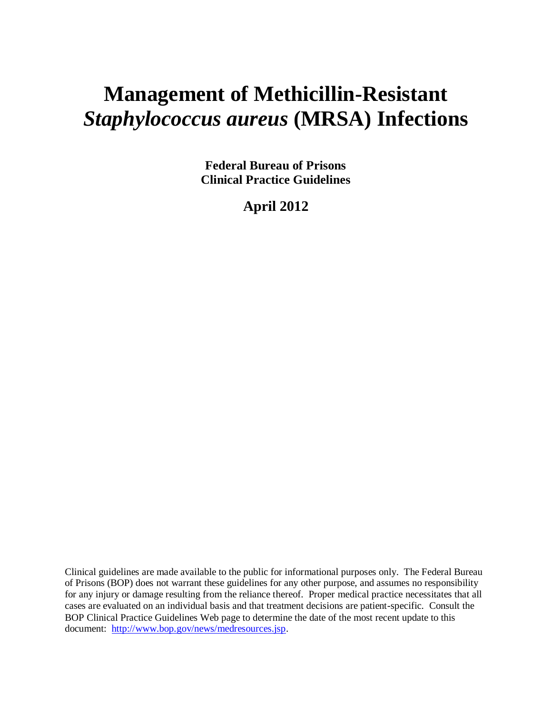# **Management of Methicillin-Resistant** *Staphylococcus aureus* **(MRSA) Infections**

**Federal Bureau of Prisons Clinical Practice Guidelines**

**April 2012**

Clinical guidelines are made available to the public for informational purposes only. The Federal Bureau of Prisons (BOP) does not warrant these guidelines for any other purpose, and assumes no responsibility for any injury or damage resulting from the reliance thereof. Proper medical practice necessitates that all cases are evaluated on an individual basis and that treatment decisions are patient-specific. Consult the BOP Clinical Practice Guidelines Web page to determine the date of the most recent update to this document: [http://www.bop.gov/news/medresources.jsp.](http://www.bop.gov/news/medresources.jsp)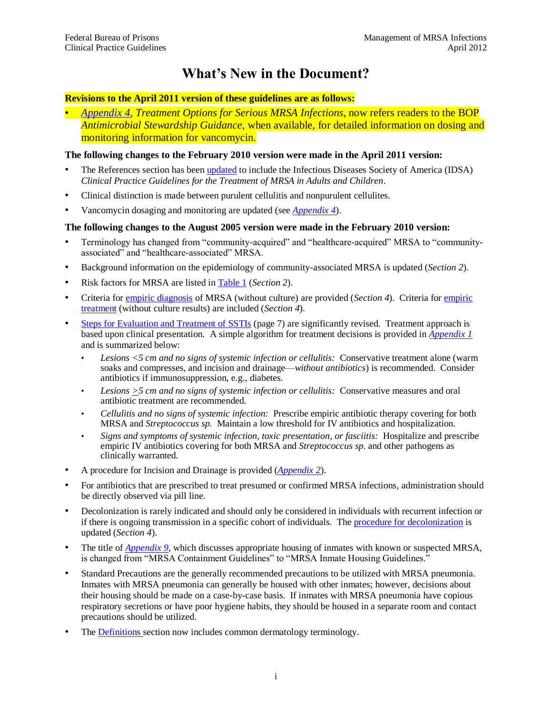## **What's New in the Document?**

#### **Revisions to the April 2011 version of these guidelines are as follows:**

• *[Appendix 4,](#page-29-0) Treatment Options for Serious MRSA Infections*, now refers readers to the BOP *Antimicrobial Stewardship Guidance*, when available, for detailed information on dosing and monitoring information for vancomycin.

#### **The following changes to the February 2010 version were made in the April 2011 version:**

- The References section has bee[n updated](#page-23-0) to include the Infectious Diseases Society of America (IDSA) *Clinical Practice Guidelines for the Treatment of MRSA in Adults and Children*.
- Clinical distinction is made between purulent cellulitis and nonpurulent cellulites.
- Vancomycin dosaging and monitoring are updated (see *[Appendix 4](#page-29-0)*).

#### **The following changes to the August 2005 version were made in the February 2010 version:**

- Terminology has changed from "community-acquired" and "healthcare-acquired" MRSA to "communityassociated" and "healthcare-associated" MRSA.
- Background information on the epidemiology of community-associated MRSA is updated (*Section 2*).
- Risk factors for MRSA are listed in [Table 1](#page-4-0) (*Section 2*).
- Criteria for [empiric diagnosis](#page-6-0) of MRSA (without culture) are provided (*Section 4*). Criteria for [empiric](#page-7-0)  [treatment](#page-7-0) (without culture results) are included (*Section 4*).
- Steps [for Evaluation and Treatment of SSTIs](#page-10-0) (page 7) are significantly revised. Treatment approach is based upon clinical presentation. A simple algorithm for treatment decisions is provided in *[Appendix 1](#page-24-0)* and is summarized below:
	- *Lesions <5 cm and no signs of systemic infection or cellulitis:* Conservative treatment alone (warm soaks and compresses, and incision and drainage—*without antibiotics*) is recommended. Consider antibiotics if immunosuppression, e.g., diabetes.
	- *Lesions >5 cm and no signs of systemic infection or cellulitis:* Conservative measures and oral antibiotic treatment are recommended.
	- *Cellulitis and no signs of systemic infection:* Prescribe empiric antibiotic therapy covering for both MRSA and *Streptococcus sp.* Maintain a low threshold for IV antibiotics and hospitalization.
	- *Signs and symptoms of systemic infection, toxic presentation, or fasciitis:* Hospitalize and prescribe empiric IV antibiotics covering for both MRSA and *Streptococcus sp.* and other pathogens as clinically warranted.
- A procedure for Incision and Drainage is provided (*[Appendix 2](#page-25-0)*).
- For antibiotics that are prescribed to treat presumed or confirmed MRSA infections, administration should be directly observed via pill line.
- Decolonization is rarely indicated and should only be considered in individuals with recurrent infection or if there is ongoing transmission in a specific cohort of individuals. Th[e procedure for decolonization](#page-10-1) is updated (*Section 4*).
- The title of *[Appendix 9,](#page-36-0)* which discusses appropriate housing of inmates with known or suspected MRSA, is changed from "MRSA Containment Guidelines" to "MRSA Inmate Housing Guidelines."
- Standard Precautions are the generally recommended precautions to be utilized with MRSA pneumonia. Inmates with MRSA pneumonia can generally be housed with other inmates; however, decisions about their housing should be made on a case-by-case basis. If inmates with MRSA pneumonia have copious respiratory secretions or have poor hygiene habits, they should be housed in a separate room and contact precautions should be utilized.
- The [Definitions s](#page-19-0)ection now includes common dermatology terminology.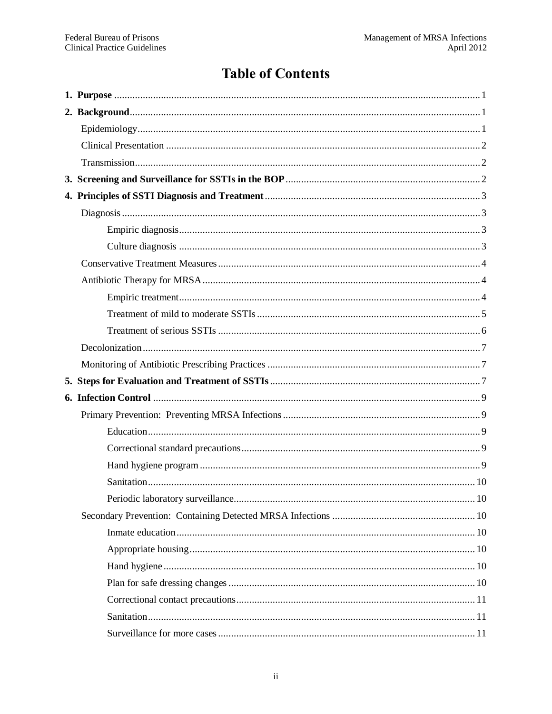## **Table of Contents**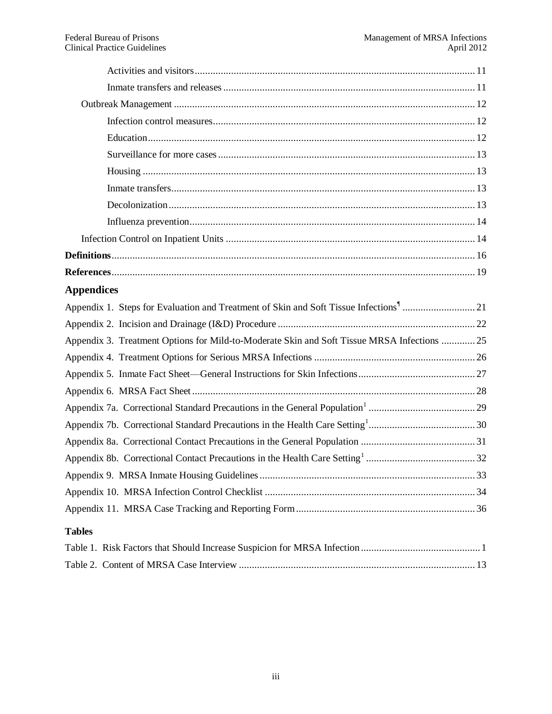| <b>Appendices</b>                                                                           |
|---------------------------------------------------------------------------------------------|
|                                                                                             |
|                                                                                             |
| Appendix 3. Treatment Options for Mild-to-Moderate Skin and Soft Tissue MRSA Infections  25 |
|                                                                                             |
|                                                                                             |
|                                                                                             |
|                                                                                             |
|                                                                                             |
|                                                                                             |
|                                                                                             |
|                                                                                             |
|                                                                                             |
|                                                                                             |
| <b>Tables</b>                                                                               |
|                                                                                             |
|                                                                                             |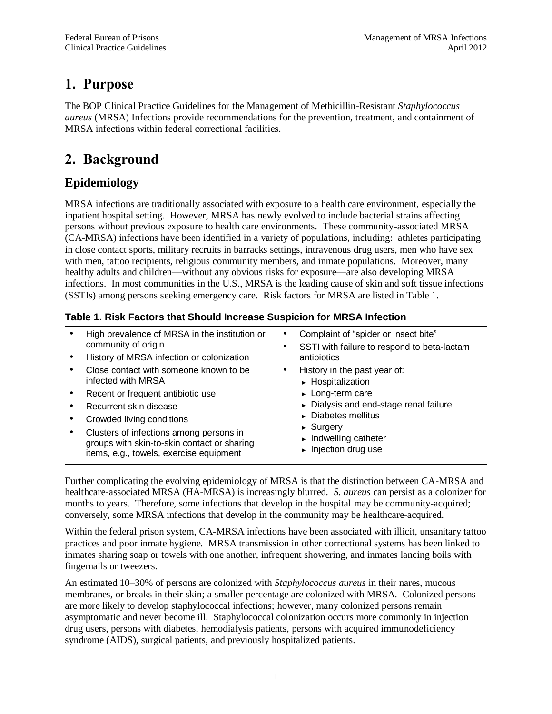## <span id="page-4-1"></span>**1. Purpose**

The BOP Clinical Practice Guidelines for the Management of Methicillin-Resistant *Staphylococcus aureus* (MRSA) Infections provide recommendations for the prevention, treatment, and containment of MRSA infections within federal correctional facilities.

## <span id="page-4-2"></span>**2. Background**

## <span id="page-4-3"></span>**Epidemiology**

MRSA infections are traditionally associated with exposure to a health care environment, especially the inpatient hospital setting. However, MRSA has newly evolved to include bacterial strains affecting persons without previous exposure to health care environments. These community-associated MRSA (CA-MRSA) infections have been identified in a variety of populations, including: athletes participating in close contact sports, military recruits in barracks settings, intravenous drug users, men who have sex with men, tattoo recipients, religious community members, and inmate populations. Moreover, many healthy adults and children—without any obvious risks for exposure—are also developing MRSA infections. In most communities in the U.S., MRSA is the leading cause of skin and soft tissue infections (SSTIs) among persons seeking emergency care. Risk factors for MRSA are listed in Table 1.

### <span id="page-4-0"></span>**Table 1. Risk Factors that Should Increase Suspicion for MRSA Infection**

| High prevalence of MRSA in the institution or<br>community of origin                                                              | Complaint of "spider or insect bite"<br>SSTI with failure to respond to beta-lactam                               |
|-----------------------------------------------------------------------------------------------------------------------------------|-------------------------------------------------------------------------------------------------------------------|
| History of MRSA infection or colonization                                                                                         | antibiotics                                                                                                       |
| Close contact with someone known to be<br>infected with MRSA                                                                      | History in the past year of:<br>▶ Hospitalization                                                                 |
| Recent or frequent antibiotic use                                                                                                 | $\blacktriangleright$ Long-term care                                                                              |
| Recurrent skin disease                                                                                                            | Dialysis and end-stage renal failure                                                                              |
| Crowded living conditions                                                                                                         | $\triangleright$ Diabetes mellitus                                                                                |
| Clusters of infections among persons in<br>groups with skin-to-skin contact or sharing<br>items, e.g., towels, exercise equipment | $\triangleright$ Surgery<br>$\blacktriangleright$ Indwelling catheter<br>$\blacktriangleright$ Injection drug use |

Further complicating the evolving epidemiology of MRSA is that the distinction between CA-MRSA and healthcare-associated MRSA (HA-MRSA) is increasingly blurred. *S. aureus* can persist as a colonizer for months to years. Therefore, some infections that develop in the hospital may be community-acquired; conversely, some MRSA infections that develop in the community may be healthcare-acquired.

Within the federal prison system, CA-MRSA infections have been associated with illicit, unsanitary tattoo practices and poor inmate hygiene. MRSA transmission in other correctional systems has been linked to inmates sharing soap or towels with one another, infrequent showering, and inmates lancing boils with fingernails or tweezers.

An estimated 10–30% of persons are colonized with *Staphylococcus aureus* in their nares, mucous membranes, or breaks in their skin; a smaller percentage are colonized with MRSA. Colonized persons are more likely to develop staphylococcal infections; however, many colonized persons remain asymptomatic and never become ill. Staphylococcal colonization occurs more commonly in injection drug users, persons with diabetes, hemodialysis patients, persons with acquired immunodeficiency syndrome (AIDS), surgical patients, and previously hospitalized patients.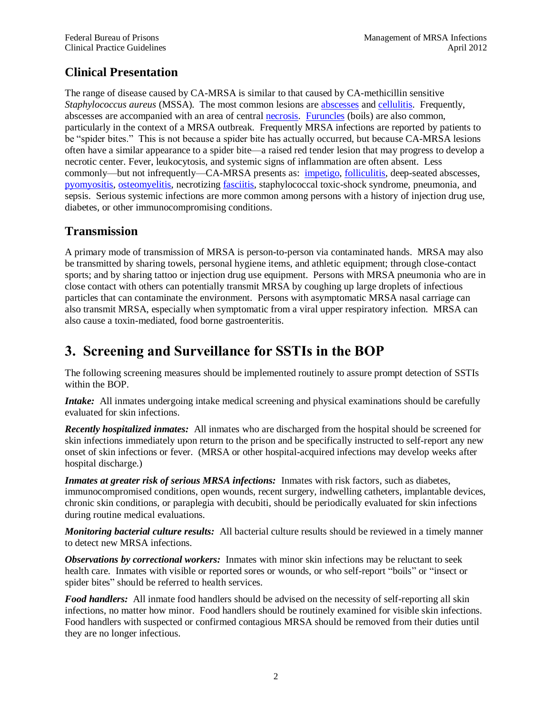### <span id="page-5-0"></span>**Clinical Presentation**

The range of disease caused by CA-MRSA is similar to that caused by CA-methicillin sensitive *Staphylococcus aureus* (MSSA)*.* The most common lesions are [abscesses](#page-19-0) an[d cellulitis.](#page-19-2) Frequently, abscesses are accompanied with an area of central [necrosis.](#page-20-0) [Furuncles](#page-19-3) (boils) are also common, particularly in the context of a MRSA outbreak. Frequently MRSA infections are reported by patients to be "spider bites." This is not because a spider bite has actually occurred, but because CA-MRSA lesions often have a similar appearance to a spider bite—a raised red tender lesion that may progress to develop a necrotic center. Fever, leukocytosis, and systemic signs of inflammation are often absent. Less commonly—but not infrequently—CA-MRSA presents as: [impetigo,](#page-20-1) [folliculitis,](#page-19-4) deep-seated abscesses, [pyomyositis,](#page-21-0) [osteomyelitis,](#page-20-2) necrotizing [fasciitis,](#page-19-5) staphylococcal toxic-shock syndrome, pneumonia, and sepsis. Serious systemic infections are more common among persons with a history of injection drug use, diabetes, or other immunocompromising conditions.

### <span id="page-5-1"></span>**Transmission**

A primary mode of transmission of MRSA is person-to-person via contaminated hands. MRSA may also be transmitted by sharing towels, personal hygiene items, and athletic equipment; through close-contact sports; and by sharing tattoo or injection drug use equipment. Persons with MRSA pneumonia who are in close contact with others can potentially transmit MRSA by coughing up large droplets of infectious particles that can contaminate the environment. Persons with asymptomatic MRSA nasal carriage can also transmit MRSA, especially when symptomatic from a viral upper respiratory infection. MRSA can also cause a toxin-mediated, food borne gastroenteritis.

## <span id="page-5-2"></span>**3. Screening and Surveillance for SSTIs in the BOP**

The following screening measures should be implemented routinely to assure prompt detection of SSTIs within the BOP.

*Intake:* All inmates undergoing intake medical screening and physical examinations should be carefully evaluated for skin infections.

*Recently hospitalized inmates:* All inmates who are discharged from the hospital should be screened for skin infections immediately upon return to the prison and be specifically instructed to self-report any new onset of skin infections or fever. (MRSA or other hospital-acquired infections may develop weeks after hospital discharge.)

*Inmates at greater risk of serious MRSA infections:* Inmates with risk factors, such as diabetes, immunocompromised conditions, open wounds, recent surgery, indwelling catheters, implantable devices, chronic skin conditions, or paraplegia with decubiti, should be periodically evaluated for skin infections during routine medical evaluations.

*Monitoring bacterial culture results:* All bacterial culture results should be reviewed in a timely manner to detect new MRSA infections.

*Observations by correctional workers:* Inmates with minor skin infections may be reluctant to seek health care. Inmates with visible or reported sores or wounds, or who self-report "boils" or "insect or spider bites" should be referred to health services.

*Food handlers:* All inmate food handlers should be advised on the necessity of self-reporting all skin infections, no matter how minor. Food handlers should be routinely examined for visible skin infections. Food handlers with suspected or confirmed contagious MRSA should be removed from their duties until they are no longer infectious.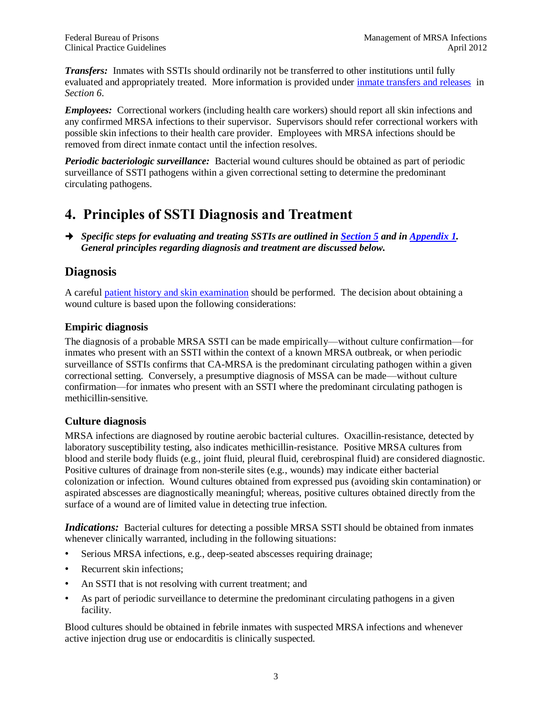*Transfers:* Inmates with SSTIs should ordinarily not be transferred to other institutions until fully evaluated and appropriately treated. More information is provided under [inmate transfers and releases](#page-14-4) in *Section 6*.

*Employees:* Correctional workers (including health care workers) should report all skin infections and any confirmed MRSA infections to their supervisor. Supervisors should refer correctional workers with possible skin infections to their health care provider. Employees with MRSA infections should be removed from direct inmate contact until the infection resolves.

*Periodic bacteriologic surveillance:* Bacterial wound cultures should be obtained as part of periodic surveillance of SSTI pathogens within a given correctional setting to determine the predominant circulating pathogens.

## <span id="page-6-1"></span>**4. Principles of SSTI Diagnosis and Treatment**

 *Specific steps for evaluating and treating SSTIs are outlined in [Section 5](#page-10-0) and in [Appendix](#page-24-0) 1. General principles regarding diagnosis and treatment are discussed below.* 

### <span id="page-6-2"></span>**Diagnosis**

A careful [patient history and skin examination](#page-10-0) should be performed. The decision about obtaining a wound culture is based upon the following considerations:

### <span id="page-6-0"></span>**Empiric diagnosis**

The diagnosis of a probable MRSA SSTI can be made empirically—without culture confirmation—for inmates who present with an SSTI within the context of a known MRSA outbreak, or when periodic surveillance of SSTIs confirms that CA-MRSA is the predominant circulating pathogen within a given correctional setting. Conversely, a presumptive diagnosis of MSSA can be made—without culture confirmation—for inmates who present with an SSTI where the predominant circulating pathogen is methicillin-sensitive.

### <span id="page-6-3"></span>**Culture diagnosis**

MRSA infections are diagnosed by routine aerobic bacterial cultures. Oxacillin-resistance, detected by laboratory susceptibility testing, also indicates methicillin-resistance. Positive MRSA cultures from blood and sterile body fluids (e.g., joint fluid, pleural fluid, cerebrospinal fluid) are considered diagnostic. Positive cultures of drainage from non-sterile sites (e.g., wounds) may indicate either bacterial colonization or infection. Wound cultures obtained from expressed pus (avoiding skin contamination) or aspirated abscesses are diagnostically meaningful; whereas, positive cultures obtained directly from the surface of a wound are of limited value in detecting true infection.

<span id="page-6-4"></span>*Indications:* Bacterial cultures for detecting a possible MRSA SSTI should be obtained from inmates whenever clinically warranted, including in the following situations:

- Serious MRSA infections, e.g., deep-seated abscesses requiring drainage;
- Recurrent skin infections:
- An SSTI that is not resolving with current treatment; and
- As part of periodic surveillance to determine the predominant circulating pathogens in a given facility.

Blood cultures should be obtained in febrile inmates with suspected MRSA infections and whenever active injection drug use or endocarditis is clinically suspected.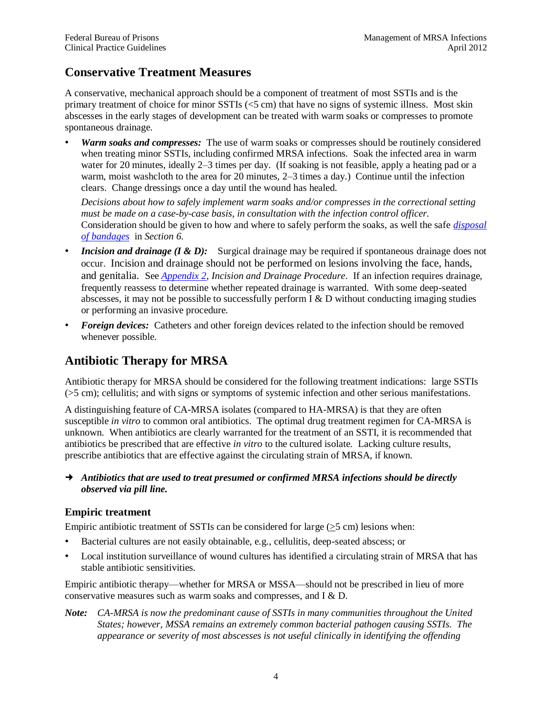### <span id="page-7-1"></span>**Conservative Treatment Measures**

A conservative, mechanical approach should be a component of treatment of most SSTIs and is the primary treatment of choice for minor SSTIs (<5 cm) that have no signs of systemic illness. Most skin abscesses in the early stages of development can be treated with warm soaks or compresses to promote spontaneous drainage.

• *Warm soaks and compresses:* The use of warm soaks or compresses should be routinely considered when treating minor SSTIs, including confirmed MRSA infections. Soak the infected area in warm water for 20 minutes, ideally 2–3 times per day. (If soaking is not feasible, apply a heating pad or a warm, moist washcloth to the area for 20 minutes, 2–3 times a day.) Continue until the infection clears. Change dressings once a day until the wound has healed.

*Decisions about how to safely implement warm soaks and/or compresses in the correctional setting must be made on a case-by-case basis, in consultation with the infection control officer.*  Consideration should be given to how and where to safely perform the soaks, as well the safe *[disposal](#page-13-7)  [of bandages](#page-13-7)* in *Section 6*.

- *Incision and drainage (I & D):* Surgical drainage may be required if spontaneous drainage does not occur. Incision and drainage should not be performed on lesions involving the face, hands, and genitalia. See *[Appendix 2](#page-25-0)*, *Incision and Drainage Procedure*. If an infection requires drainage, frequently reassess to determine whether repeated drainage is warranted. With some deep-seated abscesses, it may not be possible to successfully perform  $I \& D$  without conducting imaging studies or performing an invasive procedure.
- *Foreign devices:* Catheters and other foreign devices related to the infection should be removed whenever possible.

## <span id="page-7-2"></span>**Antibiotic Therapy for MRSA**

Antibiotic therapy for MRSA should be considered for the following treatment indications: large SSTIs (>5 cm); cellulitis; and with signs or symptoms of systemic infection and other serious manifestations.

A distinguishing feature of CA-MRSA isolates (compared to HA-MRSA) is that they are often susceptible *in vitro* to common oral antibiotics. The optimal drug treatment regimen for CA-MRSA is unknown. When antibiotics are clearly warranted for the treatment of an SSTI, it is recommended that antibiotics be prescribed that are effective *in vitro* to the cultured isolate. Lacking culture results, prescribe antibiotics that are effective against the circulating strain of MRSA, if known.

 *Antibiotics that are used to treat presumed or confirmed MRSA infections should be directly observed via pill line.*

### <span id="page-7-0"></span>**Empiric treatment**

Empiric antibiotic treatment of SSTIs can be considered for large (>5 cm) lesions when:

- Bacterial cultures are not easily obtainable, e.g., cellulitis, deep-seated abscess; or
- Local institution surveillance of wound cultures has identified a circulating strain of MRSA that has stable antibiotic sensitivities.

Empiric antibiotic therapy—whether for MRSA or MSSA—should not be prescribed in lieu of more conservative measures such as warm soaks and compresses, and I & D.

*Note: CA-MRSA is now the predominant cause of SSTIs in many communities throughout the United States; however, MSSA remains an extremely common bacterial pathogen causing SSTIs. The appearance or severity of most abscesses is not useful clinically in identifying the offending*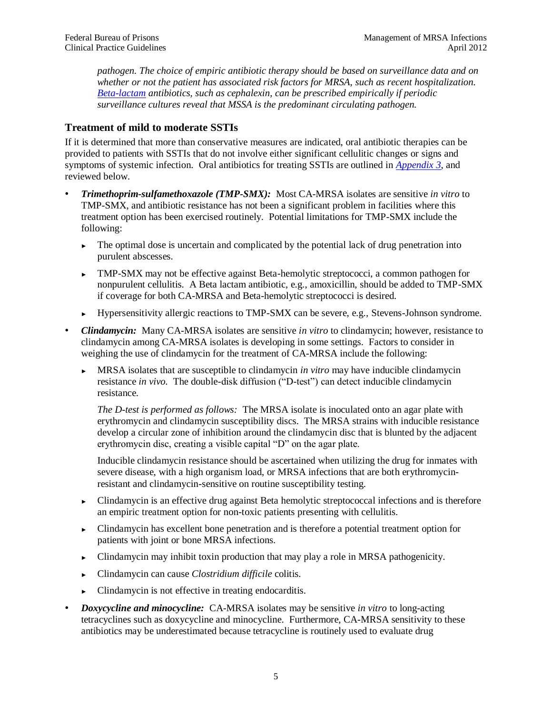*pathogen. The choice of empiric antibiotic therapy should be based on surveillance data and on whether or not the patient has associated risk factors for MRSA, such as recent hospitalization. [Beta-lactam](#page-19-0) antibiotics, such as cephalexin, can be prescribed empirically if periodic surveillance cultures reveal that MSSA is the predominant circulating pathogen.* 

#### <span id="page-8-0"></span>**Treatment of mild to moderate SSTIs**

If it is determined that more than conservative measures are indicated, oral antibiotic therapies can be provided to patients with SSTIs that do not involve either significant cellulitic changes or signs and symptoms of systemic infection. Oral antibiotics for treating SSTIs are outlined in *[Appendix 3](#page-28-0)*, and reviewed below.

- *Trimethoprim-sulfamethoxazole (TMP-SMX):* Most CA-MRSA isolates are sensitive *in vitro* to TMP-SMX, and antibiotic resistance has not been a significant problem in facilities where this treatment option has been exercised routinely. Potential limitations for TMP-SMX include the following:
	- $\blacktriangleright$  The optimal dose is uncertain and complicated by the potential lack of drug penetration into purulent abscesses.
	- ► TMP-SMX may not be effective against Beta-hemolytic streptococci, a common pathogen for nonpurulent cellulitis. A Beta lactam antibiotic, e.g., amoxicillin, should be added to TMP-SMX if coverage for both CA-MRSA and Beta-hemolytic streptococci is desired.
	- ► Hypersensitivity allergic reactions to TMP-SMX can be severe, e.g., Stevens-Johnson syndrome.
- *Clindamycin:*Many CA-MRSA isolates are sensitive *in vitro* to clindamycin; however, resistance to clindamycin among CA-MRSA isolates is developing in some settings. Factors to consider in weighing the use of clindamycin for the treatment of CA-MRSA include the following:
	- ► MRSA isolates that are susceptible to clindamycin *in vitro* may have inducible clindamycin resistance *in vivo.* The double-disk diffusion ("D-test") can detect inducible clindamycin resistance.

<span id="page-8-1"></span>*The D-test is performed as follows:* The MRSA isolate is inoculated onto an agar plate with erythromycin and clindamycin susceptibility discs. The MRSA strains with inducible resistance develop a circular zone of inhibition around the clindamycin disc that is blunted by the adjacent erythromycin disc, creating a visible capital "D" on the agar plate.

Inducible clindamycin resistance should be ascertained when utilizing the drug for inmates with severe disease, with a high organism load, or MRSA infections that are both erythromycinresistant and clindamycin-sensitive on routine susceptibility testing.

- ► Clindamycin is an effective drug against Beta hemolytic streptococcal infections and is therefore an empiric treatment option for non-toxic patients presenting with cellulitis.
- ► Clindamycin has excellent bone penetration and is therefore a potential treatment option for patients with joint or bone MRSA infections.
- ► Clindamycin may inhibit toxin production that may play a role in MRSA pathogenicity.
- ► Clindamycin can cause *Clostridium difficile* colitis.
- ► Clindamycin is not effective in treating endocarditis.
- *Doxycycline and minocycline:* CA-MRSA isolates may be sensitive *in vitro* to long-acting tetracyclines such as doxycycline and minocycline. Furthermore, CA-MRSA sensitivity to these antibiotics may be underestimated because tetracycline is routinely used to evaluate drug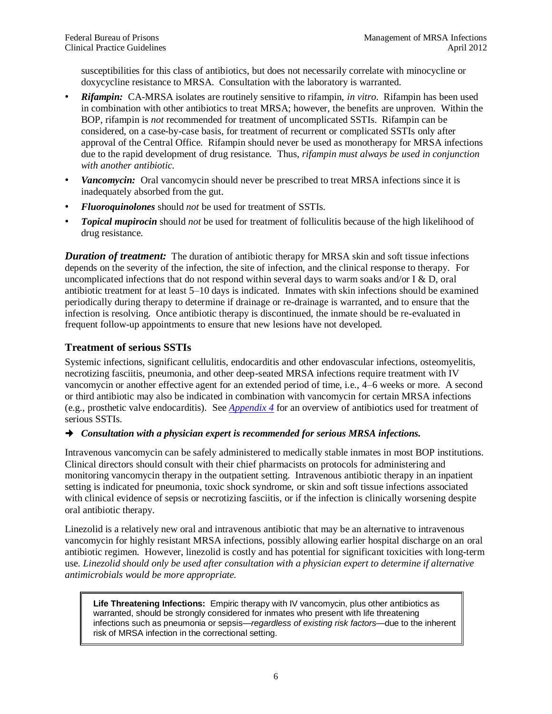susceptibilities for this class of antibiotics, but does not necessarily correlate with minocycline or doxycycline resistance to MRSA. Consultation with the laboratory is warranted.

- *Rifampin:* CA-MRSA isolates are routinely sensitive to rifampin, *in vitro*. Rifampin has been used in combination with other antibiotics to treat MRSA; however, the benefits are unproven. Within the BOP, rifampin is *not* recommended for treatment of uncomplicated SSTIs. Rifampin can be considered, on a case-by-case basis, for treatment of recurrent or complicated SSTIs only after approval of the Central Office. Rifampin should never be used as monotherapy for MRSA infections due to the rapid development of drug resistance. Thus, *rifampin must always be used in conjunction with another antibiotic.*
- *Vancomycin:* Oral vancomycin should never be prescribed to treat MRSA infections since it is inadequately absorbed from the gut.
- *Fluoroquinolones* should *not* be used for treatment of SSTIs.
- *Topical mupirocin* should *not* be used for treatment of folliculitis because of the high likelihood of drug resistance.

*Duration of treatment:* The duration of antibiotic therapy for MRSA skin and soft tissue infections depends on the severity of the infection, the site of infection, and the clinical response to therapy. For uncomplicated infections that do not respond within several days to warm soaks and/or  $I \& D$ , oral antibiotic treatment for at least 5–10 days is indicated. Inmates with skin infections should be examined periodically during therapy to determine if drainage or re-drainage is warranted, and to ensure that the infection is resolving. Once antibiotic therapy is discontinued, the inmate should be re-evaluated in frequent follow-up appointments to ensure that new lesions have not developed.

#### <span id="page-9-0"></span>**Treatment of serious SSTIs**

Systemic infections, significant cellulitis, endocarditis and other endovascular infections, osteomyelitis, necrotizing fasciitis, pneumonia, and other deep-seated MRSA infections require treatment with IV vancomycin or another effective agent for an extended period of time, i.e., 4–6 weeks or more. A second or third antibiotic may also be indicated in combination with vancomycin for certain MRSA infections (e.g., prosthetic valve endocarditis). See *[Appendix 4](#page-29-0)* for an overview of antibiotics used for treatment of serious SSTIs.

#### *Consultation with a physician expert is recommended for serious MRSA infections.*

Intravenous vancomycin can be safely administered to medically stable inmates in most BOP institutions. Clinical directors should consult with their chief pharmacists on protocols for administering and monitoring vancomycin therapy in the outpatient setting. Intravenous antibiotic therapy in an inpatient setting is indicated for pneumonia, toxic shock syndrome, or skin and soft tissue infections associated with clinical evidence of sepsis or necrotizing fasciitis, or if the infection is clinically worsening despite oral antibiotic therapy.

Linezolid is a relatively new oral and intravenous antibiotic that may be an alternative to intravenous vancomycin for highly resistant MRSA infections, possibly allowing earlier hospital discharge on an oral antibiotic regimen. However, linezolid is costly and has potential for significant toxicities with long-term use. *Linezolid should only be used after consultation with a physician expert to determine if alternative antimicrobials would be more appropriate.*

**Life Threatening Infections:** Empiric therapy with IV vancomycin, plus other antibiotics as warranted, should be strongly considered for inmates who present with life threatening infections such as pneumonia or sepsis—*regardless of existing risk factors*—due to the inherent risk of MRSA infection in the correctional setting.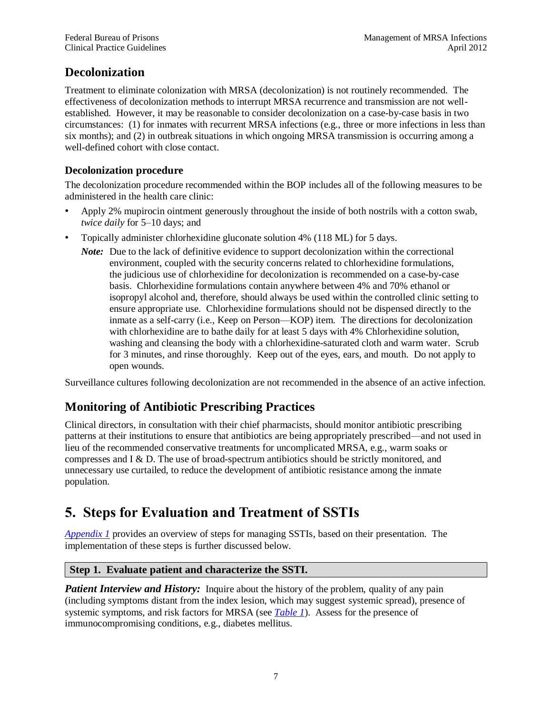### <span id="page-10-2"></span>**Decolonization**

Treatment to eliminate colonization with MRSA (decolonization) is not routinely recommended. The effectiveness of decolonization methods to interrupt MRSA recurrence and transmission are not wellestablished. However, it may be reasonable to consider decolonization on a case-by-case basis in two circumstances: (1) for inmates with recurrent MRSA infections (e.g., three or more infections in less than six months); and (2) in outbreak situations in which ongoing MRSA transmission is occurring among a well-defined cohort with close contact.

### <span id="page-10-1"></span>**Decolonization procedure**

The decolonization procedure recommended within the BOP includes all of the following measures to be administered in the health care clinic:

- Apply 2% mupirocin ointment generously throughout the inside of both nostrils with a cotton swab, *twice daily* for 5–10 days; and
- Topically administer chlorhexidine gluconate solution 4% (118 ML) for 5 days.
	- *Note:* Due to the lack of definitive evidence to support decolonization within the correctional environment, coupled with the security concerns related to chlorhexidine formulations, the judicious use of chlorhexidine for decolonization is recommended on a case-by-case basis. Chlorhexidine formulations contain anywhere between 4% and 70% ethanol or isopropyl alcohol and, therefore, should always be used within the controlled clinic setting to ensure appropriate use. Chlorhexidine formulations should not be dispensed directly to the inmate as a self-carry (i.e., Keep on Person—KOP) item. The directions for decolonization with chlorhexidine are to bathe daily for at least 5 days with 4% Chlorhexidine solution, washing and cleansing the body with a chlorhexidine-saturated cloth and warm water. Scrub for 3 minutes, and rinse thoroughly. Keep out of the eyes, ears, and mouth. Do not apply to open wounds.

Surveillance cultures following decolonization are not recommended in the absence of an active infection.

### <span id="page-10-3"></span>**Monitoring of Antibiotic Prescribing Practices**

Clinical directors, in consultation with their chief pharmacists, should monitor antibiotic prescribing patterns at their institutions to ensure that antibiotics are being appropriately prescribed—and not used in lieu of the recommended conservative treatments for uncomplicated MRSA, e.g., warm soaks or compresses and I & D. The use of broad-spectrum antibiotics should be strictly monitored, and unnecessary use curtailed, to reduce the development of antibiotic resistance among the inmate population.

## <span id="page-10-4"></span><span id="page-10-0"></span>**5. Steps for Evaluation and Treatment of SSTIs**

*[Appendix 1](#page-24-0)* provides an overview of steps for managing SSTIs, based on their presentation. The implementation of these steps is further discussed below.

### **Step 1. Evaluate patient and characterize the SSTI.**

*Patient Interview and History:* Inquire about the history of the problem, quality of any pain (including symptoms distant from the index lesion, which may suggest systemic spread), presence of systemic symptoms, and risk factors for MRSA (see *[Table 1](#page-4-0)*). Assess for the presence of immunocompromising conditions, e.g., diabetes mellitus.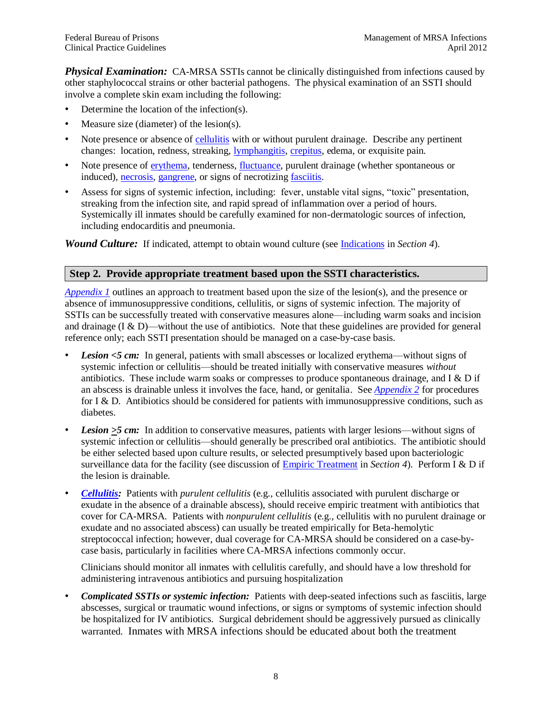*Physical Examination:* CA-MRSA SSTIs cannot be clinically distinguished from infections caused by other staphylococcal strains or other bacterial pathogens. The physical examination of an SSTI should involve a complete skin exam including the following:

- Determine the location of the infection(s).
- Measure size (diameter) of the lesion(s).
- Note presence or absence of [cellulitis](#page-19-2) with or without purulent drainage. Describe any pertinent changes: location, redness, streaking, [lymphangitis,](#page-20-3) [crepitus,](#page-19-6) edema, or exquisite pain.
- Note presence of [erythema,](#page-19-7) tenderness, [fluctuance,](#page-19-8) purulent drainage (whether spontaneous or induced), [necrosis,](#page-20-0) [gangrene,](#page-20-4) or signs of necrotizing [fasciitis.](#page-19-5)
- Assess for signs of systemic infection, including: fever, unstable vital signs, "toxic" presentation, streaking from the infection site, and rapid spread of inflammation over a period of hours. Systemically ill inmates should be carefully examined for non-dermatologic sources of infection, including endocarditis and pneumonia.

*Wound Culture:* If indicated, attempt to obtain wound culture (see [Indications](#page-6-4) in *Section 4*).

#### **Step 2. Provide appropriate treatment based upon the SSTI characteristics.**

*[Appendix 1](#page-24-0)* outlines an approach to treatment based upon the size of the lesion(s), and the presence or absence of immunosuppressive conditions, cellulitis, or signs of systemic infection. The majority of SSTIs can be successfully treated with conservative measures alone—including warm soaks and incision and drainage (I & D)—without the use of antibiotics. Note that these guidelines are provided for general reference only; each SSTI presentation should be managed on a case-by-case basis.

- *Lesion <5 cm:*In general, patients with small abscesses or localized erythema—without signs of systemic infection or cellulitis—should be treated initially with conservative measures *without*  antibiotics. These include warm soaks or compresses to produce spontaneous drainage, and I  $&$  D if an abscess is drainable unless it involves the face, hand, or genitalia. See *[Appendix 2](#page-25-0)* for procedures for I & D. Antibiotics should be considered for patients with immunosuppressive conditions, such as diabetes.
- *Lesion* >5 cm: In addition to conservative measures, patients with larger lesions—without signs of systemic infection or cellulitis—should generally be prescribed oral antibiotics. The antibiotic should be either selected based upon culture results, or selected presumptively based upon bacteriologic surveillance data for the facility (see discussion of [Empiric Treatment](#page-7-0) in *Section 4*). Perform I & D if the lesion is drainable.
- *[Cellulitis:](#page-19-2)* Patients with *purulent cellulitis* (e.g., cellulitis associated with purulent discharge or exudate in the absence of a drainable abscess), should receive empiric treatment with antibiotics that cover for CA-MRSA. Patients with *nonpurulent cellulitis* (e.g., cellulitis with no purulent drainage or exudate and no associated abscess) can usually be treated empirically for Beta-hemolytic streptococcal infection; however, dual coverage for CA-MRSA should be considered on a case-bycase basis, particularly in facilities where CA-MRSA infections commonly occur.

Clinicians should monitor all inmates with cellulitis carefully, and should have a low threshold for administering intravenous antibiotics and pursuing hospitalization

• *Complicated SSTIs or systemic infection:*Patients with deep-seated infections such as fasciitis, large abscesses, surgical or traumatic wound infections, or signs or symptoms of systemic infection should be hospitalized for IV antibiotics. Surgical debridement should be aggressively pursued as clinically warranted. Inmates with MRSA infections should be educated about both the treatment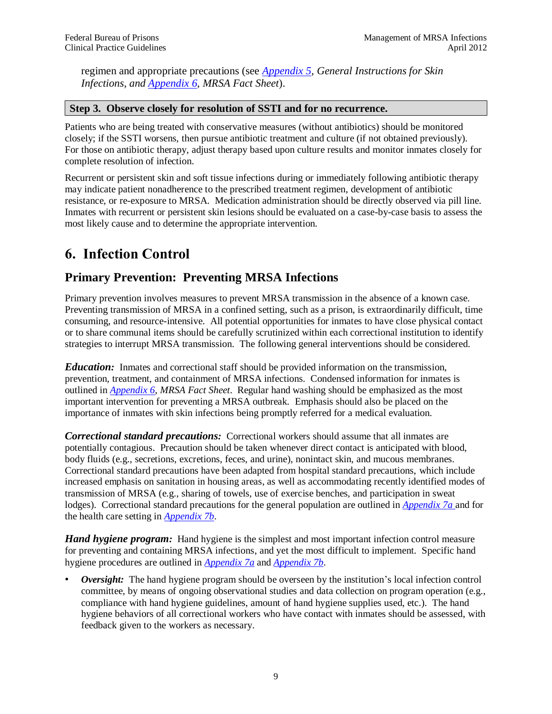regimen and appropriate precautions (see *[Appendix 5,](#page-30-0) General Instructions for Skin Infections, and [Appendix](#page-31-0) 6*, *MRSA Fact Sheet*).

#### **Step 3. Observe closely for resolution of SSTI and for no recurrence.**

Patients who are being treated with conservative measures (without antibiotics) should be monitored closely; if the SSTI worsens, then pursue antibiotic treatment and culture (if not obtained previously). For those on antibiotic therapy, adjust therapy based upon culture results and monitor inmates closely for complete resolution of infection.

Recurrent or persistent skin and soft tissue infections during or immediately following antibiotic therapy may indicate patient nonadherence to the prescribed treatment regimen, development of antibiotic resistance, or re-exposure to MRSA. Medication administration should be directly observed via pill line. Inmates with recurrent or persistent skin lesions should be evaluated on a case-by-case basis to assess the most likely cause and to determine the appropriate intervention.

## <span id="page-12-0"></span>**6. Infection Control**

### <span id="page-12-1"></span>**Primary Prevention: Preventing MRSA Infections**

Primary prevention involves measures to prevent MRSA transmission in the absence of a known case. Preventing transmission of MRSA in a confined setting, such as a prison, is extraordinarily difficult, time consuming, and resource-intensive. All potential opportunities for inmates to have close physical contact or to share communal items should be carefully scrutinized within each correctional institution to identify strategies to interrupt MRSA transmission. The following general interventions should be considered.

<span id="page-12-2"></span>*Education:* Inmates and correctional staff should be provided information on the transmission, prevention, treatment, and containment of MRSA infections. Condensed information for inmates is outlined in *[Appendix](#page-31-0) 6*, *MRSA Fact Sheet*. Regular hand washing should be emphasized as the most important intervention for preventing a MRSA outbreak. Emphasis should also be placed on the importance of inmates with skin infections being promptly referred for a medical evaluation.

<span id="page-12-3"></span>*Correctional standard precautions:* Correctional workers should assume that all inmates are potentially contagious. Precaution should be taken whenever direct contact is anticipated with blood, body fluids (e.g., secretions, excretions, feces, and urine), nonintact skin, and mucous membranes. Correctional standard precautions have been adapted from hospital standard precautions, which include increased emphasis on sanitation in housing areas, as well as accommodating recently identified modes of transmission of MRSA (e.g., sharing of towels, use of exercise benches, and participation in sweat lodges). Correctional standard precautions for the general population are outlined in *[Appendix 7a](#page-32-0)* and for the health care setting in *[Appendix](#page-33-0) 7b*.

<span id="page-12-4"></span>*Hand hygiene program:* Hand hygiene is the simplest and most important infection control measure for preventing and containing MRSA infections, and yet the most difficult to implement. Specific hand hygiene procedures are outlined in *[Appendix 7a](#page-32-0)* and *[Appendix 7b](#page-33-0)*.

*Oversight:* The hand hygiene program should be overseen by the institution's local infection control committee, by means of ongoing observational studies and data collection on program operation (e.g., compliance with hand hygiene guidelines, amount of hand hygiene supplies used, etc.). The hand hygiene behaviors of all correctional workers who have contact with inmates should be assessed, with feedback given to the workers as necessary.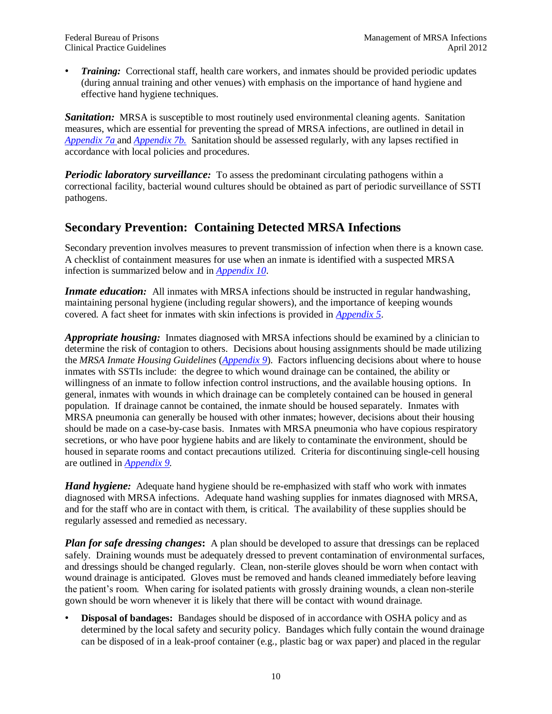• *Training:* Correctional staff, health care workers, and inmates should be provided periodic updates (during annual training and other venues) with emphasis on the importance of hand hygiene and effective hand hygiene techniques.

<span id="page-13-0"></span>**Sanitation**: MRSA is susceptible to most routinely used environmental cleaning agents. Sanitation measures, which are essential for preventing the spread of MRSA infections, are outlined in detail in *[Appendix 7a](#page-32-0)* and *[Appendix](#page-33-0) 7b.* Sanitation should be assessed regularly, with any lapses rectified in accordance with local policies and procedures.

<span id="page-13-1"></span>*Periodic laboratory surveillance:* To assess the predominant circulating pathogens within a correctional facility, bacterial wound cultures should be obtained as part of periodic surveillance of SSTI pathogens.

### <span id="page-13-2"></span>**Secondary Prevention: Containing Detected MRSA Infections**

Secondary prevention involves measures to prevent transmission of infection when there is a known case. A checklist of containment measures for use when an inmate is identified with a suspected MRSA infection is summarized below and in *[Appendix 10](#page-37-0)*.

<span id="page-13-3"></span>*Inmate education*: All inmates with MRSA infections should be instructed in regular handwashing, maintaining personal hygiene (including regular showers), and the importance of keeping wounds covered. A fact sheet for inmates with skin infections is provided in *[Appendix 5](#page-30-0)*.

<span id="page-13-4"></span>*Appropriate housing:* Inmates diagnosed with MRSA infections should be examined by a clinician to determine the risk of contagion to others. Decisions about housing assignments should be made utilizing the *MRSA Inmate Housing Guidelines* (*[Appendix 9](#page-36-0)*). Factors influencing decisions about where to house inmates with SSTIs include: the degree to which wound drainage can be contained, the ability or willingness of an inmate to follow infection control instructions, and the available housing options. In general, inmates with wounds in which drainage can be completely contained can be housed in general population. If drainage cannot be contained, the inmate should be housed separately. Inmates with MRSA pneumonia can generally be housed with other inmates; however, decisions about their housing should be made on a case-by-case basis. Inmates with MRSA pneumonia who have copious respiratory secretions, or who have poor hygiene habits and are likely to contaminate the environment, should be housed in separate rooms and contact precautions utilized. Criteria for discontinuing single-cell housing are outlined in *[Appendix 9.](#page-36-0)*

<span id="page-13-5"></span>*Hand hygiene:* Adequate hand hygiene should be re-emphasized with staff who work with inmates diagnosed with MRSA infections. Adequate hand washing supplies for inmates diagnosed with MRSA, and for the staff who are in contact with them, is critical. The availability of these supplies should be regularly assessed and remedied as necessary.

<span id="page-13-6"></span>*Plan for safe dressing changes*: A plan should be developed to assure that dressings can be replaced safely. Draining wounds must be adequately dressed to prevent contamination of environmental surfaces, and dressings should be changed regularly. Clean, non-sterile gloves should be worn when contact with wound drainage is anticipated. Gloves must be removed and hands cleaned immediately before leaving the patient's room. When caring for isolated patients with grossly draining wounds, a clean non-sterile gown should be worn whenever it is likely that there will be contact with wound drainage.

<span id="page-13-7"></span>• **Disposal of bandages:** Bandages should be disposed of in accordance with OSHA policy and as determined by the local safety and security policy. Bandages which fully contain the wound drainage can be disposed of in a leak-proof container (e.g., plastic bag or wax paper) and placed in the regular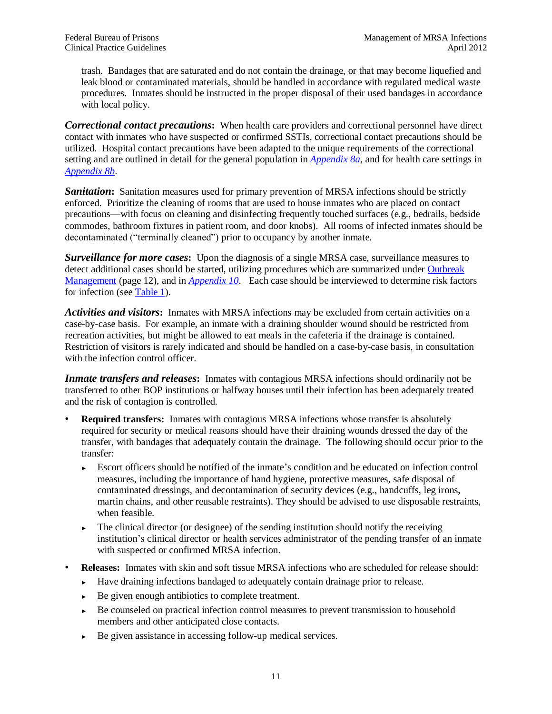trash. Bandages that are saturated and do not contain the drainage, or that may become liquefied and leak blood or contaminated materials, should be handled in accordance with regulated medical waste procedures. Inmates should be instructed in the proper disposal of their used bandages in accordance with local policy.

<span id="page-14-0"></span>*Correctional contact precautions***:** When health care providers and correctional personnel have direct contact with inmates who have suspected or confirmed SSTIs, correctional contact precautions should be utilized. Hospital contact precautions have been adapted to the unique requirements of the correctional setting and are outlined in detail for the general population in *[Appendix 8a](#page-34-0)*, and for health care settings in *[Appendix 8b](#page-35-1)*.

<span id="page-14-1"></span>**Sanitation:** Sanitation measures used for primary prevention of MRSA infections should be strictly enforced. Prioritize the cleaning of rooms that are used to house inmates who are placed on contact precautions—with focus on cleaning and disinfecting frequently touched surfaces (e.g., bedrails, bedside commodes, bathroom fixtures in patient room, and door knobs). All rooms of infected inmates should be decontaminated ("terminally cleaned") prior to occupancy by another inmate.

<span id="page-14-2"></span>*Surveillance for more cases***:** Upon the diagnosis of a single MRSA case, surveillance measures to detect additional cases should be started, utilizing procedures which are summarized under [Outbreak](#page-15-0)  [Management](#page-15-0) (page 12), and in *[Appendix 10](#page-37-0)*. Each case should be interviewed to determine risk factors for infection (see [Table 1\)](#page-4-0).

<span id="page-14-3"></span>*Activities and visitors***:** Inmates with MRSA infections may be excluded from certain activities on a case-by-case basis. For example, an inmate with a draining shoulder wound should be restricted from recreation activities, but might be allowed to eat meals in the cafeteria if the drainage is contained. Restriction of visitors is rarely indicated and should be handled on a case-by-case basis, in consultation with the infection control officer.

<span id="page-14-4"></span>*Inmate transfers and releases*: Inmates with contagious MRSA infections should ordinarily not be transferred to other BOP institutions or halfway houses until their infection has been adequately treated and the risk of contagion is controlled.

- **Required transfers:** Inmates with contagious MRSA infections whose transfer is absolutely required for security or medical reasons should have their draining wounds dressed the day of the transfer, with bandages that adequately contain the drainage. The following should occur prior to the transfer:
	- ► Escort officers should be notified of the inmate's condition and be educated on infection control measures, including the importance of hand hygiene, protective measures, safe disposal of contaminated dressings, and decontamination of security devices (e.g., handcuffs, leg irons, martin chains, and other reusable restraints). They should be advised to use disposable restraints, when feasible.
	- $\blacktriangleright$  The clinical director (or designee) of the sending institution should notify the receiving institution's clinical director or health services administrator of the pending transfer of an inmate with suspected or confirmed MRSA infection.
- **Releases:** Inmates with skin and soft tissue MRSA infections who are scheduled for release should:
	- ► Have draining infections bandaged to adequately contain drainage prior to release.
	- ► Be given enough antibiotics to complete treatment.
	- ► Be counseled on practical infection control measures to prevent transmission to household members and other anticipated close contacts.
	- ► Be given assistance in accessing follow-up medical services.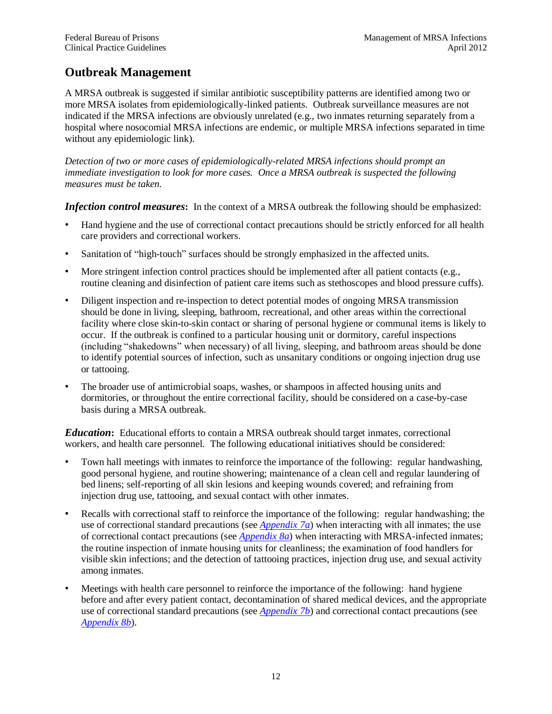### <span id="page-15-0"></span>**Outbreak Management**

A MRSA outbreak is suggested if similar antibiotic susceptibility patterns are identified among two or more MRSA isolates from epidemiologically-linked patients. Outbreak surveillance measures are not indicated if the MRSA infections are obviously unrelated (e.g., two inmates returning separately from a hospital where nosocomial MRSA infections are endemic, or multiple MRSA infections separated in time without any epidemiologic link).

*Detection of two or more cases of epidemiologically-related MRSA infections should prompt an immediate investigation to look for more cases. Once a MRSA outbreak is suspected the following measures must be taken.*

<span id="page-15-1"></span>**Infection control measures**: In the context of a MRSA outbreak the following should be emphasized:

- Hand hygiene and the use of correctional contact precautions should be strictly enforced for all health care providers and correctional workers.
- Sanitation of "high-touch" surfaces should be strongly emphasized in the affected units.
- More stringent infection control practices should be implemented after all patient contacts (e.g., routine cleaning and disinfection of patient care items such as stethoscopes and blood pressure cuffs).
- Diligent inspection and re-inspection to detect potential modes of ongoing MRSA transmission should be done in living, sleeping, bathroom, recreational, and other areas within the correctional facility where close skin-to-skin contact or sharing of personal hygiene or communal items is likely to occur. If the outbreak is confined to a particular housing unit or dormitory, careful inspections (including "shakedowns" when necessary) of all living, sleeping, and bathroom areas should be done to identify potential sources of infection, such as unsanitary conditions or ongoing injection drug use or tattooing.
- The broader use of antimicrobial soaps, washes, or shampoos in affected housing units and dormitories, or throughout the entire correctional facility, should be considered on a case-by-case basis during a MRSA outbreak.

<span id="page-15-2"></span>*Education***:** Educational efforts to contain a MRSA outbreak should target inmates, correctional workers, and health care personnel. The following educational initiatives should be considered:

- Town hall meetings with inmates to reinforce the importance of the following: regular handwashing, good personal hygiene, and routine showering; maintenance of a clean cell and regular laundering of bed linens; self-reporting of all skin lesions and keeping wounds covered; and refraining from injection drug use, tattooing, and sexual contact with other inmates.
- Recalls with correctional staff to reinforce the importance of the following: regular handwashing; the use of correctional standard precautions (see *[Appendix 7a](#page-32-0)*) when interacting with all inmates; the use of correctional contact precautions (see *[Appendix 8a](#page-34-0)*) when interacting with MRSA-infected inmates; the routine inspection of inmate housing units for cleanliness; the examination of food handlers for visible skin infections; and the detection of tattooing practices, injection drug use, and sexual activity among inmates.
- Meetings with health care personnel to reinforce the importance of the following: hand hygiene before and after every patient contact, decontamination of shared medical devices, and the appropriate use of correctional standard precautions (see *[Appendix 7b](#page-33-0)*) and correctional contact precautions (see *[Appendix](#page-35-1) 8b*).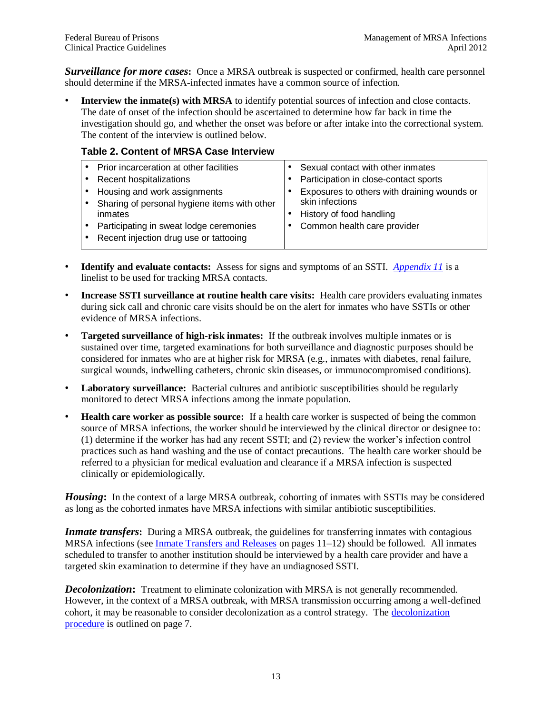<span id="page-16-0"></span>*Surveillance for more cases***:** Once a MRSA outbreak is suspected or confirmed, health care personnel should determine if the MRSA-infected inmates have a common source of infection.

**Interview the inmate(s) with MRSA** to identify potential sources of infection and close contacts. The date of onset of the infection should be ascertained to determine how far back in time the investigation should go, and whether the onset was before or after intake into the correctional system. The content of the interview is outlined below.

#### <span id="page-16-4"></span>**Table 2. Content of MRSA Case Interview**

| Prior incarceration at other facilities      | Sexual contact with other inmates           |
|----------------------------------------------|---------------------------------------------|
| Recent hospitalizations                      | Participation in close-contact sports       |
| Housing and work assignments                 | Exposures to others with draining wounds or |
| Sharing of personal hygiene items with other | skin infections                             |
| inmates                                      | History of food handling                    |
| Participating in sweat lodge ceremonies      | Common health care provider                 |
| Recent injection drug use or tattooing       |                                             |
|                                              |                                             |

- **Identify and evaluate contacts:** Assess for signs and symptoms of an SSTI. *[Appendix 11](#page-39-0)* is a linelist to be used for tracking MRSA contacts.
- **Increase SSTI surveillance at routine health care visits:** Health care providers evaluating inmates during sick call and chronic care visits should be on the alert for inmates who have SSTIs or other evidence of MRSA infections.
- **Targeted surveillance of high-risk inmates:** If the outbreak involves multiple inmates or is sustained over time, targeted examinations for both surveillance and diagnostic purposes should be considered for inmates who are at higher risk for MRSA (e.g., inmates with diabetes, renal failure, surgical wounds, indwelling catheters, chronic skin diseases, or immunocompromised conditions).
- **Laboratory surveillance:** Bacterial cultures and antibiotic susceptibilities should be regularly monitored to detect MRSA infections among the inmate population.
- **Health care worker as possible source:** If a health care worker is suspected of being the common source of MRSA infections, the worker should be interviewed by the clinical director or designee to: (1) determine if the worker has had any recent SSTI; and (2) review the worker's infection control practices such as hand washing and the use of contact precautions. The health care worker should be referred to a physician for medical evaluation and clearance if a MRSA infection is suspected clinically or epidemiologically.

<span id="page-16-1"></span>*Housing***:** In the context of a large MRSA outbreak, cohorting of inmates with SSTIs may be considered as long as the cohorted inmates have MRSA infections with similar antibiotic susceptibilities.

<span id="page-16-2"></span>*Inmate transfers*: During a MRSA outbreak, the guidelines for transferring inmates with contagious MRSA infections (see [Inmate Transfers and Releases](#page-14-4) on pages 11–12) should be followed. All inmates scheduled to transfer to another institution should be interviewed by a health care provider and have a targeted skin examination to determine if they have an undiagnosed SSTI.

<span id="page-16-3"></span>*Decolonization*: Treatment to eliminate colonization with MRSA is not generally recommended. However, in the context of a MRSA outbreak, with MRSA transmission occurring among a well-defined cohort, it may be reasonable to consider decolonization as a control strategy. The [decolonization](#page-10-1)  [procedure](#page-10-1) is outlined on page 7.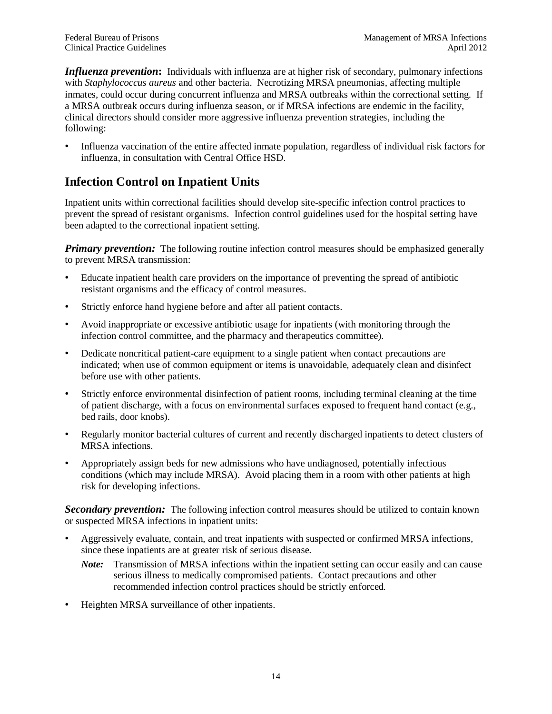<span id="page-17-0"></span>*Influenza prevention*: Individuals with influenza are at higher risk of secondary, pulmonary infections with *Staphylococcus aureus* and other bacteria. Necrotizing MRSA pneumonias, affecting multiple inmates, could occur during concurrent influenza and MRSA outbreaks within the correctional setting. If a MRSA outbreak occurs during influenza season, or if MRSA infections are endemic in the facility, clinical directors should consider more aggressive influenza prevention strategies, including the following:

• Influenza vaccination of the entire affected inmate population, regardless of individual risk factors for influenza, in consultation with Central Office HSD.

### <span id="page-17-1"></span>**Infection Control on Inpatient Units**

Inpatient units within correctional facilities should develop site-specific infection control practices to prevent the spread of resistant organisms. Infection control guidelines used for the hospital setting have been adapted to the correctional inpatient setting.

*Primary prevention:* The following routine infection control measures should be emphasized generally to prevent MRSA transmission:

- Educate inpatient health care providers on the importance of preventing the spread of antibiotic resistant organisms and the efficacy of control measures.
- Strictly enforce hand hygiene before and after all patient contacts.
- Avoid inappropriate or excessive antibiotic usage for inpatients (with monitoring through the infection control committee, and the pharmacy and therapeutics committee).
- Dedicate noncritical patient-care equipment to a single patient when contact precautions are indicated; when use of common equipment or items is unavoidable, adequately clean and disinfect before use with other patients.
- Strictly enforce environmental disinfection of patient rooms, including terminal cleaning at the time of patient discharge, with a focus on environmental surfaces exposed to frequent hand contact (e.g., bed rails, door knobs).
- Regularly monitor bacterial cultures of current and recently discharged inpatients to detect clusters of MRSA infections.
- Appropriately assign beds for new admissions who have undiagnosed, potentially infectious conditions (which may include MRSA). Avoid placing them in a room with other patients at high risk for developing infections.

*Secondary prevention:* The following infection control measures should be utilized to contain known or suspected MRSA infections in inpatient units:

- Aggressively evaluate, contain, and treat inpatients with suspected or confirmed MRSA infections, since these inpatients are at greater risk of serious disease.
	- *Note:* Transmission of MRSA infections within the inpatient setting can occur easily and can cause serious illness to medically compromised patients. Contact precautions and other recommended infection control practices should be strictly enforced.
- Heighten MRSA surveillance of other inpatients.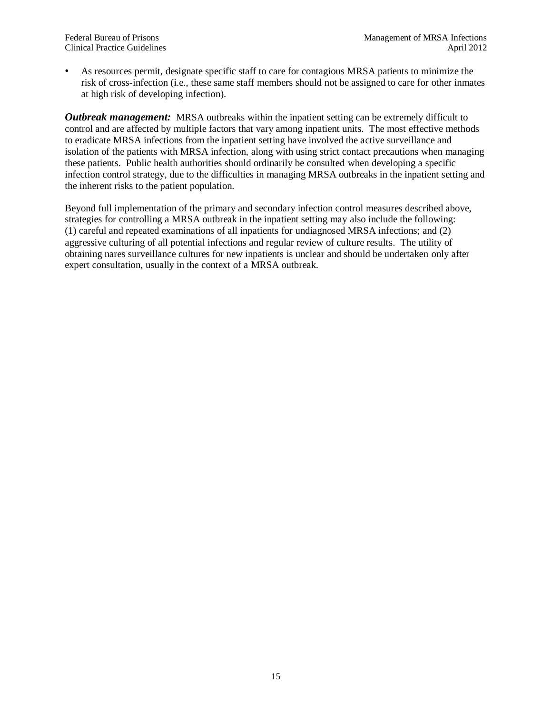• As resources permit, designate specific staff to care for contagious MRSA patients to minimize the risk of cross-infection (i.e., these same staff members should not be assigned to care for other inmates at high risk of developing infection).

*Outbreak management:* MRSA outbreaks within the inpatient setting can be extremely difficult to control and are affected by multiple factors that vary among inpatient units. The most effective methods to eradicate MRSA infections from the inpatient setting have involved the active surveillance and isolation of the patients with MRSA infection, along with using strict contact precautions when managing these patients. Public health authorities should ordinarily be consulted when developing a specific infection control strategy, due to the difficulties in managing MRSA outbreaks in the inpatient setting and the inherent risks to the patient population.

Beyond full implementation of the primary and secondary infection control measures described above, strategies for controlling a MRSA outbreak in the inpatient setting may also include the following: (1) careful and repeated examinations of all inpatients for undiagnosed MRSA infections; and (2) aggressive culturing of all potential infections and regular review of culture results. The utility of obtaining nares surveillance cultures for new inpatients is unclear and should be undertaken only after expert consultation, usually in the context of a MRSA outbreak.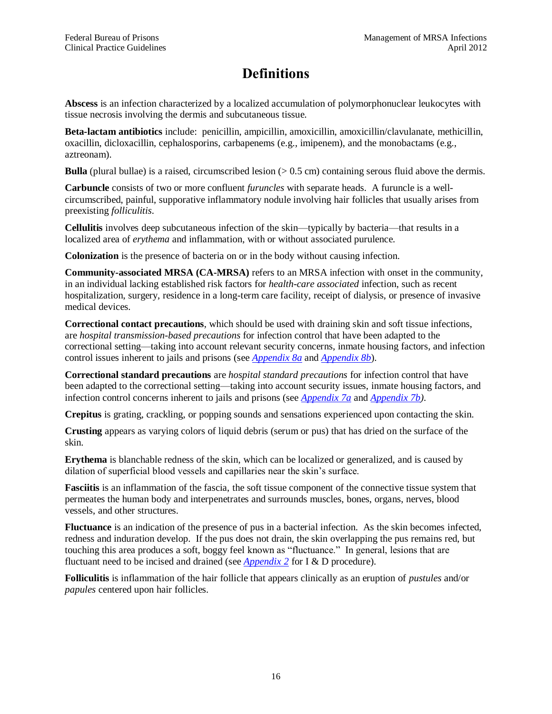## **Definitions**

<span id="page-19-1"></span><span id="page-19-0"></span>**Abscess** is an infection characterized by a localized accumulation of polymorphonuclear leukocytes with tissue necrosis involving the dermis and subcutaneous tissue.

**Beta-lactam antibiotics** include: penicillin, ampicillin, amoxicillin, amoxicillin/clavulanate, methicillin, oxacillin, dicloxacillin, cephalosporins, carbapenems (e.g., imipenem), and the monobactams (e.g., aztreonam).

**Bulla** (plural bullae) is a raised, circumscribed lesion (> 0.5 cm) containing serous fluid above the dermis.

**Carbuncle** consists of two or more confluent *furuncles* with separate heads. A furuncle is a wellcircumscribed, painful, supporative inflammatory nodule involving hair follicles that usually arises from preexisting *folliculitis*.

<span id="page-19-2"></span>**Cellulitis** involves deep subcutaneous infection of the skin—typically by bacteria—that results in a localized area of *erythema* and inflammation, with or without associated purulence.

**Colonization** is the presence of bacteria on or in the body without causing infection.

**Community-associated MRSA (CA-MRSA)** refers to an MRSA infection with onset in the community, in an individual lacking established risk factors for *health-care associated* infection, such as recent hospitalization, surgery, residence in a long-term care facility, receipt of dialysis, or presence of invasive medical devices.

**Correctional contact precautions**, which should be used with draining skin and soft tissue infections, are *hospital transmission-based precautions* for infection control that have been adapted to the correctional setting—taking into account relevant security concerns, inmate housing factors, and infection control issues inherent to jails and prisons (see *[Appendix 8a](#page-34-0)* and *[Appendix 8b](#page-35-1)*).

**Correctional standard precautions** are *hospital standard precautions* for infection control that have been adapted to the correctional setting—taking into account security issues, inmate housing factors, and infection control concerns inherent to jails and prisons (see *[Appendix 7a](#page-32-0)* and *[Appendix 7b\)](#page-33-0)*.

<span id="page-19-6"></span>**Crepitus** is grating, crackling, or popping sounds and sensations experienced upon contacting the skin.

**Crusting** appears as varying colors of liquid debris (serum or pus) that has dried on the surface of the skin.

<span id="page-19-7"></span>**Erythema** is blanchable redness of the skin, which can be localized or generalized, and is caused by dilation of superficial blood vessels and capillaries near the skin's surface.

<span id="page-19-5"></span>**Fasciitis** is an inflammation of the fascia, the soft tissue component of the connective tissue system that permeates the human body and interpenetrates and surrounds muscles, bones, organs, nerves, blood vessels, and other structures.

<span id="page-19-8"></span>**Fluctuance** is an indication of the presence of pus in a bacterial infection. As the skin becomes infected, redness and induration develop. If the pus does not drain, the skin overlapping the pus remains red, but touching this area produces a soft, boggy feel known as "fluctuance." In general, lesions that are fluctuant need to be incised and drained (see *[Appendix 2](#page-25-0)* for I & D procedure).

<span id="page-19-4"></span><span id="page-19-3"></span>**Folliculitis** is inflammation of the hair follicle that appears clinically as an eruption of *pustules* and/or *papules* centered upon hair follicles.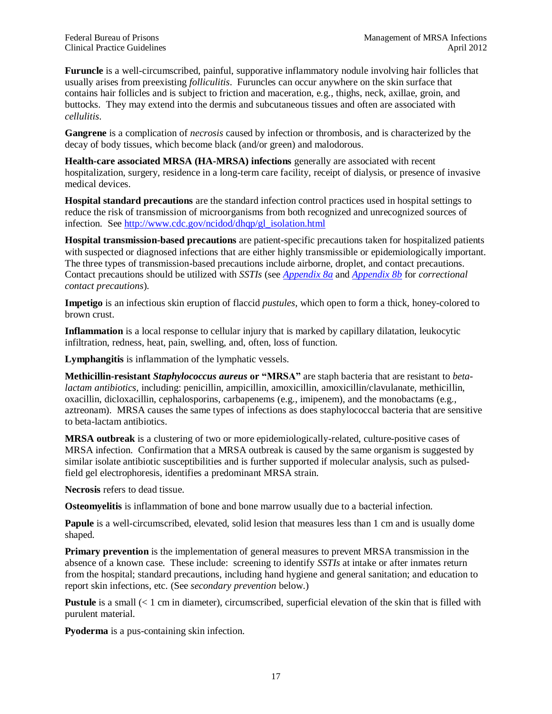**Furuncle** is a well-circumscribed, painful, supporative inflammatory nodule involving hair follicles that usually arises from preexisting *folliculitis*. Furuncles can occur anywhere on the skin surface that contains hair follicles and is subject to friction and maceration, e.g., thighs, neck, axillae, groin, and buttocks. They may extend into the dermis and subcutaneous tissues and often are associated with *cellulitis*.

<span id="page-20-4"></span>**Gangrene** is a complication of *necrosis* caused by infection or thrombosis, and is characterized by the decay of body tissues, which become black (and/or green) and malodorous.

**Health-care associated MRSA (HA-MRSA) infections** generally are associated with recent hospitalization, surgery, residence in a long-term care facility, receipt of dialysis, or presence of invasive medical devices.

**Hospital standard precautions** are the standard infection control practices used in hospital settings to reduce the risk of transmission of microorganisms from both recognized and unrecognized sources of infection. See [http://www.cdc.gov/ncidod/dhqp/gl\\_isolation.html](http://www.cdc.gov/ncidod/dhqp/gl_isolation.html)

**Hospital transmission-based precautions** are patient-specific precautions taken for hospitalized patients with suspected or diagnosed infections that are either highly transmissible or epidemiologically important. The three types of transmission-based precautions include airborne, droplet, and contact precautions. Contact precautions should be utilized with *SSTIs* (see *[Appendix 8a](#page-34-0)* and *[Appendix 8b](#page-35-1)* for *correctional contact precautions*).

<span id="page-20-1"></span>**Impetigo** is an infectious skin eruption of flaccid *pustules*, which open to form a thick, honey-colored to brown crust.

**Inflammation** is a local response to cellular injury that is marked by capillary dilatation, leukocytic infiltration, redness, heat, pain, swelling, and, often, loss of function.

<span id="page-20-3"></span>**Lymphangitis** is inflammation of the lymphatic vessels.

**Methicillin-resistant** *Staphylococcus aureus* **or "MRSA"** are staph bacteria that are resistant to *betalactam antibiotics*, including: penicillin, ampicillin, amoxicillin, amoxicillin/clavulanate, methicillin, oxacillin, dicloxacillin, cephalosporins, carbapenems (e.g., imipenem), and the monobactams (e.g., aztreonam). MRSA causes the same types of infections as does staphylococcal bacteria that are sensitive to beta-lactam antibiotics.

**MRSA outbreak** is a clustering of two or more epidemiologically-related, culture-positive cases of MRSA infection. Confirmation that a MRSA outbreak is caused by the same organism is suggested by similar isolate antibiotic susceptibilities and is further supported if molecular analysis, such as pulsedfield gel electrophoresis, identifies a predominant MRSA strain.

<span id="page-20-0"></span>**Necrosis** refers to dead tissue.

<span id="page-20-2"></span>**Osteomyelitis** is inflammation of bone and bone marrow usually due to a bacterial infection.

**Papule** is a well-circumscribed, elevated, solid lesion that measures less than 1 cm and is usually dome shaped.

**Primary prevention** is the implementation of general measures to prevent MRSA transmission in the absence of a known case. These include: screening to identify *SSTIs* at intake or after inmates return from the hospital; standard precautions, including hand hygiene and general sanitation; and education to report skin infections, etc. (See *secondary prevention* below.)

**Pustule** is a small (< 1 cm in diameter), circumscribed, superficial elevation of the skin that is filled with purulent material.

**Pyoderma** is a pus-containing skin infection.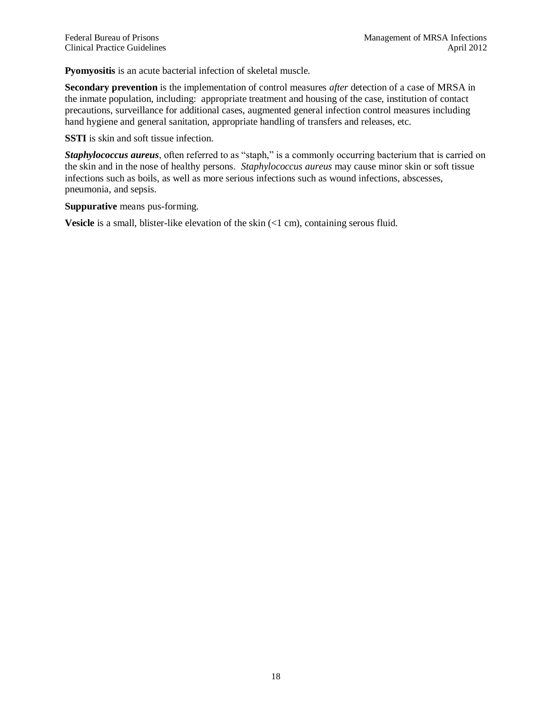<span id="page-21-0"></span>**Pyomyositis** is an acute bacterial infection of skeletal muscle.

**Secondary prevention** is the implementation of control measures *after* detection of a case of MRSA in the inmate population, including: appropriate treatment and housing of the case, institution of contact precautions, surveillance for additional cases, augmented general infection control measures including hand hygiene and general sanitation, appropriate handling of transfers and releases, etc.

**SSTI** is skin and soft tissue infection.

*Staphylococcus aureus*, often referred to as "staph," is a commonly occurring bacterium that is carried on the skin and in the nose of healthy persons. *Staphylococcus aureus* may cause minor skin or soft tissue infections such as boils, as well as more serious infections such as wound infections, abscesses, pneumonia, and sepsis.

**Suppurative** means pus-forming.

**Vesicle** is a small, blister-like elevation of the skin  $($ 1 cm), containing serous fluid.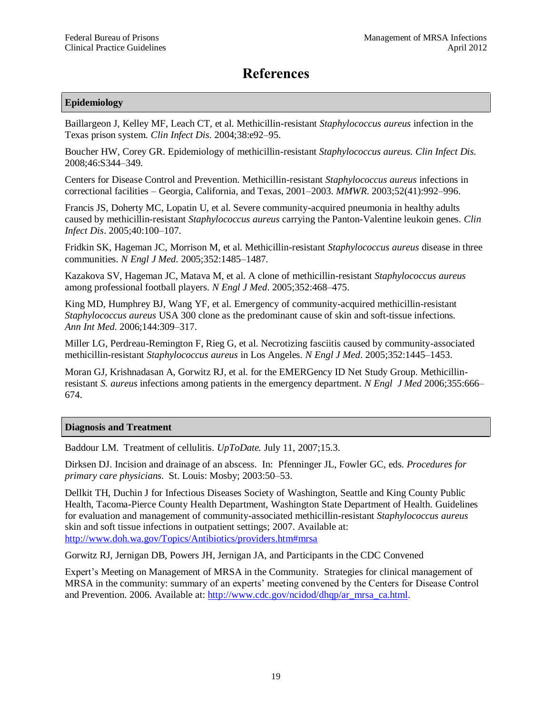## **References**

#### <span id="page-22-0"></span>**Epidemiology**

Baillargeon J, Kelley MF, Leach CT, et al. Methicillin-resistant *Staphylococcus aureus* infection in the Texas prison system. *Clin Infect Dis*. 2004;38:e92–95.

Boucher HW, Corey GR. Epidemiology of methicillin-resistant *Staphylococcus aureus. Clin Infect Dis.*  2008;46:S344–349.

Centers for Disease Control and Prevention. Methicillin-resistant *Staphylococcus aureus* infections in correctional facilities – Georgia, California, and Texas, 2001–2003. *MMWR*. 2003;52(41):992–996.

Francis JS, Doherty MC, Lopatin U, et al. Severe community-acquired pneumonia in healthy adults caused by methicillin-resistant *Staphylococcus aureus* carrying the Panton-Valentine leukoin genes. *Clin Infect Dis*. 2005;40:100–107.

Fridkin SK, Hageman JC, Morrison M, et al. Methicillin-resistant *Staphylococcus aureus* disease in three communities. *N Engl J Med*. 2005;352:1485–1487.

Kazakova SV, Hageman JC, Matava M, et al. A clone of methicillin-resistant *Staphylococcus aureus* among professional football players. *N Engl J Med*. 2005;352:468–475.

King MD, Humphrey BJ, Wang YF, et al. Emergency of community-acquired methicillin-resistant *Staphylococcus aureus* USA 300 clone as the predominant cause of skin and soft-tissue infections*. Ann Int Med.* 2006;144:309–317.

Miller LG, Perdreau-Remington F, Rieg G, et al. Necrotizing fasciitis caused by community-associated methicillin-resistant *Staphylococcus aureus* in Los Angeles. *N Engl J Med*. 2005;352:1445–1453.

Moran GJ, Krishnadasan A, Gorwitz RJ, et al. for the EMERGency ID Net Study Group. Methicillinresistant *S. aureus* infections among patients in the emergency department. *N Engl J Med* 2006;355:666– 674.

#### **Diagnosis and Treatment**

Baddour LM. Treatment of cellulitis. *UpToDate.* July 11, 2007;15.3.

Dirksen DJ. Incision and drainage of an abscess. In: Pfenninger JL, Fowler GC, eds. *Procedures for primary care physicians*. St. Louis: Mosby; 2003:50–53.

Dellkit TH, Duchin J for Infectious Diseases Society of Washington, Seattle and King County Public Health, Tacoma-Pierce County Health Department, Washington State Department of Health. Guidelines for evaluation and management of community-associated methicillin-resistant *Staphylococcus aureus* skin and soft tissue infections in outpatient settings; 2007. Available at: <http://www.doh.wa.gov/Topics/Antibiotics/providers.htm#mrsa>

Gorwitz RJ, Jernigan DB, Powers JH, Jernigan JA, and Participants in the CDC Convened

Expert's Meeting on Management of MRSA in the Community. Strategies for clinical management of MRSA in the community: summary of an experts' meeting convened by the Centers for Disease Control and Prevention. 2006. Available at: [http://www.cdc.gov/ncidod/dhqp/ar\\_mrsa\\_ca.html.](http://www.cdc.gov/ncidod/dhqp/ar_mrsa_ca.html)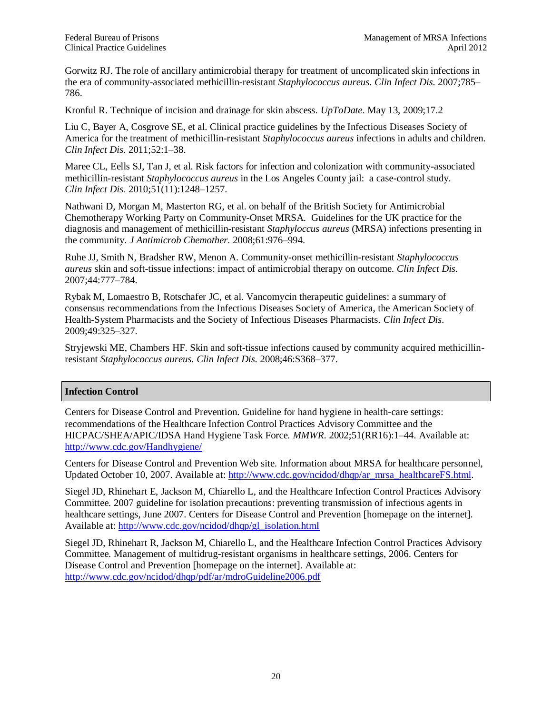Gorwitz RJ. The role of ancillary antimicrobial therapy for treatment of uncomplicated skin infections in the era of community-associated methicillin-resistant *Staphylococcus aureus. Clin Infect Dis.* 2007;785– 786.

Kronful R. Technique of incision and drainage for skin abscess. *UpToDate*. May 13, 2009;17.2

<span id="page-23-0"></span>Liu C, Bayer A, Cosgrove SE, et al. Clinical practice guidelines by the Infectious Diseases Society of America for the treatment of methicillin-resistant *Staphylococcus aureus* infections in adults and children. *Clin Infect Dis*. 2011;52:1–38.

Maree CL, Eells SJ, Tan J, et al. Risk factors for infection and colonization with community-associated methicillin-resistant *Staphylococcus aureus* in the Los Angeles County jail: a case-control study. *Clin Infect Dis.* 2010;51(11):1248–1257.

Nathwani D, Morgan M, Masterton RG, et al. on behalf of the British Society for Antimicrobial Chemotherapy Working Party on Community-Onset MRSA. Guidelines for the UK practice for the diagnosis and management of methicillin-resistant *Staphyloccus aureus* (MRSA) infections presenting in the community. *J Antimicrob Chemother.* 2008;61:976–994.

Ruhe JJ, Smith N, Bradsher RW, Menon A. Community-onset methicillin-resistant *Staphylococcus aureus* skin and soft-tissue infections: impact of antimicrobial therapy on outcome. *Clin Infect Dis.* 2007;44:777–784.

Rybak M, Lomaestro B, Rotschafer JC, et al. Vancomycin therapeutic guidelines: a summary of consensus recommendations from the Infectious Diseases Society of America, the American Society of Health-System Pharmacists and the Society of Infectious Diseases Pharmacists. *Clin Infect Dis.* 2009;49:325–327.

Stryjewski ME, Chambers HF. Skin and soft-tissue infections caused by community acquired methicillinresistant *Staphylococcus aureus. Clin Infect Dis.* 2008;46:S368–377.

#### **Infection Control**

Centers for Disease Control and Prevention. Guideline for hand hygiene in health-care settings: recommendations of the Healthcare Infection Control Practices Advisory Committee and the HICPAC/SHEA/APIC/IDSA Hand Hygiene Task Force. *MMWR*. 2002;51(RR16):1–44. Available at: <http://www.cdc.gov/Handhygiene/>

Centers for Disease Control and Prevention Web site. Information about MRSA for healthcare personnel, Updated October 10, 2007. Available at: [http://www.cdc.gov/ncidod/dhqp/ar\\_mrsa\\_healthcareFS.html.](http://www.cdc.gov/ncidod/dhqp/ar_mrsa_healthcareFS.html)

Siegel JD, Rhinehart E, Jackson M, Chiarello L, and the Healthcare Infection Control Practices Advisory Committee. 2007 guideline for isolation precautions: preventing transmission of infectious agents in healthcare settings, June 2007. Centers for Disease Control and Prevention [homepage on the internet]. Available at: [http://www.cdc.gov/ncidod/dhqp/gl\\_isolation.html](http://www.cdc.gov/ncidod/dhqp/gl_isolation.html)

Siegel JD, Rhinehart R, Jackson M, Chiarello L, and the Healthcare Infection Control Practices Advisory Committee. Management of multidrug-resistant organisms in healthcare settings, 2006. Centers for Disease Control and Prevention [homepage on the internet]. Available at: <http://www.cdc.gov/ncidod/dhqp/pdf/ar/mdroGuideline2006.pdf>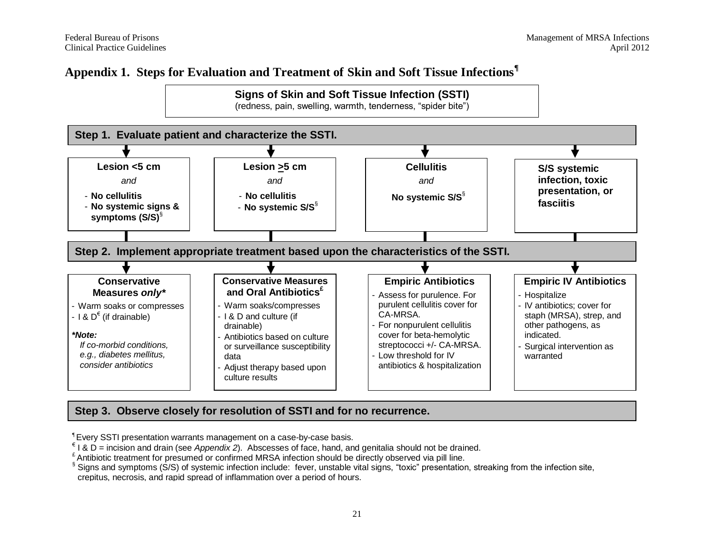### **Appendix 1. Steps for Evaluation and Treatment of Skin and Soft Tissue Infections¶**

<span id="page-24-0"></span>

### **Step 3. Observe closely for resolution of SSTI and for no recurrence.**

¶ Every SSTI presentation warrants management on a case-by-case basis.

€ I & D = incision and drain (see *Appendix 2*). Abscesses of face, hand, and genitalia should not be drained.

£ Antibiotic treatment for presumed or confirmed MRSA infection should be directly observed via pill line.

§ Signs and symptoms (S/S) of systemic infection include: fever, unstable vital signs, "toxic" presentation, streaking from the infection site, crepitus, necrosis, and rapid spread of inflammation over a period of hours.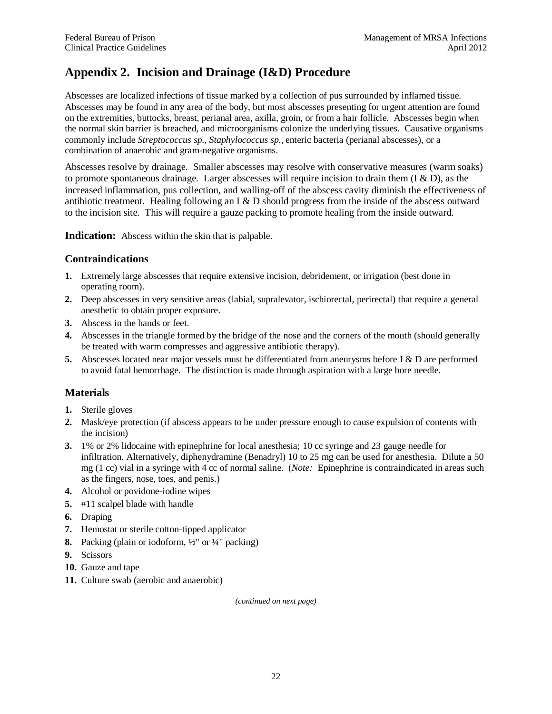### <span id="page-25-0"></span>**Appendix 2. Incision and Drainage (I&D) Procedure**

Abscesses are localized infections of tissue marked by a collection of pus surrounded by inflamed tissue. Abscesses may be found in any area of the body, but most abscesses presenting for urgent attention are found on the extremities, buttocks, breast, perianal area, axilla, groin, or from a hair follicle. Abscesses begin when the normal skin barrier is breached, and microorganisms colonize the underlying tissues. Causative organisms commonly include *Streptococcus sp.*, *Staphylococcus sp.*, enteric bacteria (perianal abscesses), or a combination of anaerobic and gram-negative organisms.

Abscesses resolve by drainage. Smaller abscesses may resolve with conservative measures (warm soaks) to promote spontaneous drainage. Larger abscesses will require incision to drain them (I & D), as the increased inflammation, pus collection, and walling-off of the abscess cavity diminish the effectiveness of antibiotic treatment. Healing following an I & D should progress from the inside of the abscess outward to the incision site. This will require a gauze packing to promote healing from the inside outward.

**Indication:** Abscess within the skin that is palpable.

#### **Contraindications**

- **1.** Extremely large abscesses that require extensive incision, debridement, or irrigation (best done in operating room).
- **2.** Deep abscesses in very sensitive areas (labial, supralevator, ischiorectal, perirectal) that require a general anesthetic to obtain proper exposure.
- **3.** Abscess in the hands or feet.
- **4.** Abscesses in the triangle formed by the bridge of the nose and the corners of the mouth (should generally be treated with warm compresses and aggressive antibiotic therapy).
- **5.** Abscesses located near major vessels must be differentiated from aneurysms before I & D are performed to avoid fatal hemorrhage. The distinction is made through aspiration with a large bore needle.

#### **Materials**

- **1.** Sterile gloves
- **2.** Mask/eye protection (if abscess appears to be under pressure enough to cause expulsion of contents with the incision)
- **3.** 1% or 2% lidocaine with epinephrine for local anesthesia; 10 cc syringe and 23 gauge needle for infiltration. Alternatively, diphenydramine (Benadryl) 10 to 25 mg can be used for anesthesia. Dilute a 50 mg (1 cc) vial in a syringe with 4 cc of normal saline. (*Note:* Epinephrine is contraindicated in areas such as the fingers, nose, toes, and penis.)
- **4.** Alcohol or povidone-iodine wipes
- **5.** #11 scalpel blade with handle
- **6.** Draping
- **7.** Hemostat or sterile cotton-tipped applicator
- **8.** Packing (plain or iodoform, ½" or ¼" packing)
- **9.** Scissors
- **10.** Gauze and tape
- **11.** Culture swab (aerobic and anaerobic)

*(continued on next page)*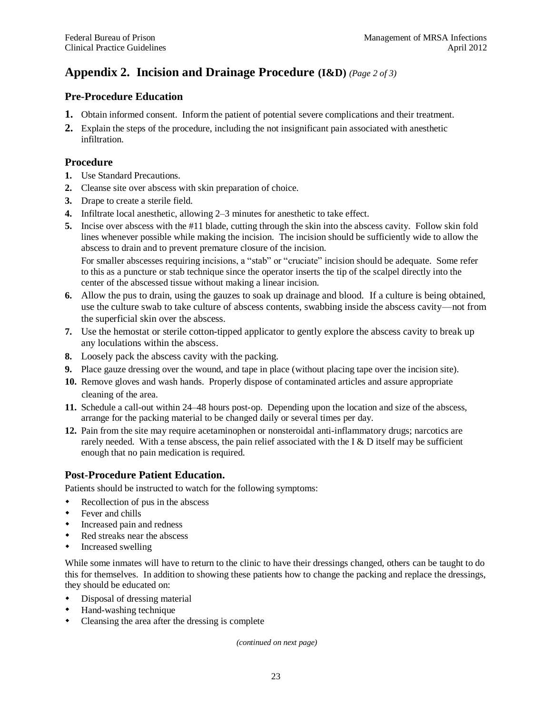### **Appendix 2. Incision and Drainage Procedure (I&D)** *(Page 2 of 3)*

### **Pre-Procedure Education**

- **1.** Obtain informed consent. Inform the patient of potential severe complications and their treatment.
- **2.** Explain the steps of the procedure, including the not insignificant pain associated with anesthetic infiltration.

#### **Procedure**

- **1.** Use Standard Precautions.
- **2.** Cleanse site over abscess with skin preparation of choice.
- **3.** Drape to create a sterile field.
- **4.** Infiltrate local anesthetic, allowing 2–3 minutes for anesthetic to take effect.
- **5.** Incise over abscess with the #11 blade, cutting through the skin into the abscess cavity. Follow skin fold lines whenever possible while making the incision. The incision should be sufficiently wide to allow the abscess to drain and to prevent premature closure of the incision. For smaller abscesses requiring incisions, a "stab" or "cruciate" incision should be adequate. Some refer to this as a puncture or stab technique since the operator inserts the tip of the scalpel directly into the center of the abscessed tissue without making a linear incision.
- **6.** Allow the pus to drain, using the gauzes to soak up drainage and blood. If a culture is being obtained, use the culture swab to take culture of abscess contents, swabbing inside the abscess cavity—not from the superficial skin over the abscess.
- **7.** Use the hemostat or sterile cotton-tipped applicator to gently explore the abscess cavity to break up any loculations within the abscess.
- **8.** Loosely pack the abscess cavity with the packing.
- **9.** Place gauze dressing over the wound, and tape in place (without placing tape over the incision site).
- **10.** Remove gloves and wash hands. Properly dispose of contaminated articles and assure appropriate cleaning of the area.
- **11.** Schedule a call-out within 24–48 hours post-op. Depending upon the location and size of the abscess, arrange for the packing material to be changed daily or several times per day.
- **12.** Pain from the site may require acetaminophen or nonsteroidal anti-inflammatory drugs; narcotics are rarely needed. With a tense abscess, the pain relief associated with the I  $\&$  D itself may be sufficient enough that no pain medication is required.

#### **Post-Procedure Patient Education.**

Patients should be instructed to watch for the following symptoms:

- Recollection of pus in the abscess
- Fever and chills
- Increased pain and redness
- Red streaks near the abscess
- Increased swelling

While some inmates will have to return to the clinic to have their dressings changed, others can be taught to do this for themselves. In addition to showing these patients how to change the packing and replace the dressings, they should be educated on:

- Disposal of dressing material
- Hand-washing technique
- Cleansing the area after the dressing is complete

*(continued on next page)*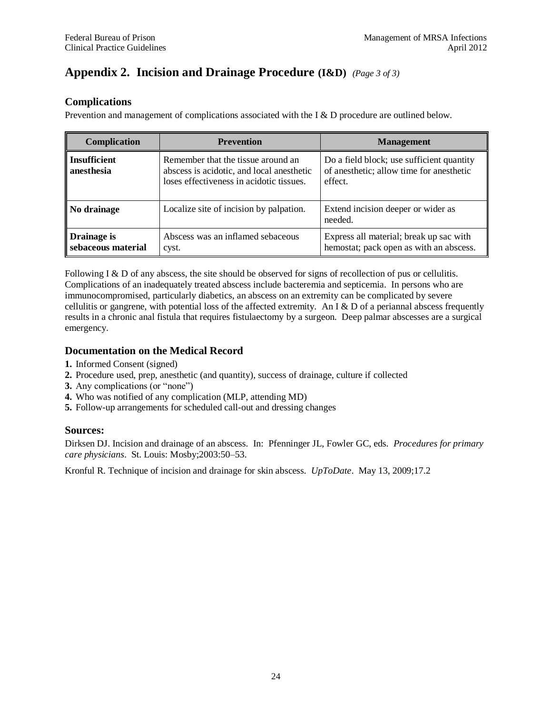### **Appendix 2. Incision and Drainage Procedure (I&D)** *(Page 3 of 3)*

#### **Complications**

Prevention and management of complications associated with the I & D procedure are outlined below.

| Complication                      | <b>Prevention</b>                                                                                                           | <b>Management</b>                                                                                  |
|-----------------------------------|-----------------------------------------------------------------------------------------------------------------------------|----------------------------------------------------------------------------------------------------|
| <b>Insufficient</b><br>anesthesia | Remember that the tissue around an<br>abscess is acidotic, and local anesthetic<br>loses effectiveness in acidotic tissues. | Do a field block; use sufficient quantity<br>of an esthetic; allow time for an esthetic<br>effect. |
| No drainage                       | Localize site of incision by palpation.                                                                                     | Extend incision deeper or wider as<br>needed.                                                      |
| Drainage is<br>sebaceous material | Abscess was an inflamed sebaceous<br>cyst.                                                                                  | Express all material; break up sac with<br>hemostat; pack open as with an abscess.                 |

Following I & D of any abscess, the site should be observed for signs of recollection of pus or cellulitis. Complications of an inadequately treated abscess include bacteremia and septicemia. In persons who are immunocompromised, particularly diabetics, an abscess on an extremity can be complicated by severe cellulitis or gangrene, with potential loss of the affected extremity. An I  $\&$  D of a periannal abscess frequently results in a chronic anal fistula that requires fistulaectomy by a surgeon. Deep palmar abscesses are a surgical emergency.

#### **Documentation on the Medical Record**

- **1.** Informed Consent (signed)
- **2.** Procedure used, prep, anesthetic (and quantity), success of drainage, culture if collected
- **3.** Any complications (or "none")
- **4.** Who was notified of any complication (MLP, attending MD)
- **5.** Follow-up arrangements for scheduled call-out and dressing changes

#### **Sources:**

Dirksen DJ. Incision and drainage of an abscess. In: Pfenninger JL, Fowler GC, eds. *Procedures for primary care physicians*. St. Louis: Mosby;2003:50–53.

Kronful R. Technique of incision and drainage for skin abscess. *UpToDate*. May 13, 2009;17.2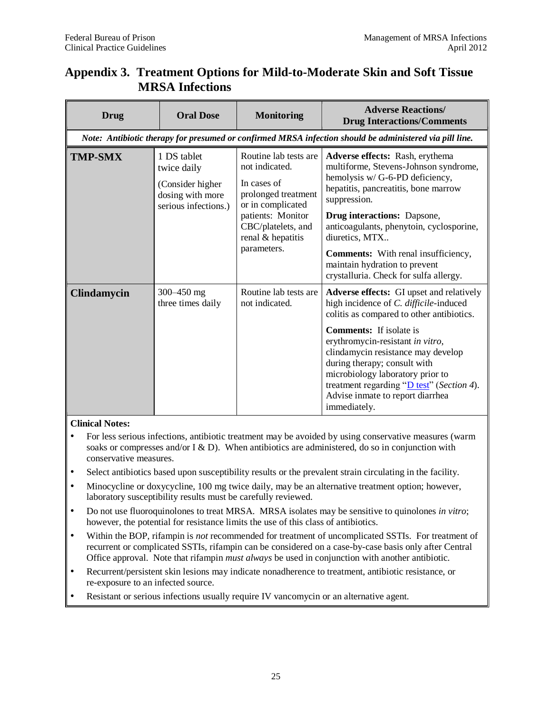| <b>Drug</b>        | <b>Oral Dose</b>                                                                           | <b>Monitoring</b>                                                                                                                                                                 | <b>Adverse Reactions/</b><br><b>Drug Interactions/Comments</b>                                                                                                                                                                                                                                                                                                                                                             |
|--------------------|--------------------------------------------------------------------------------------------|-----------------------------------------------------------------------------------------------------------------------------------------------------------------------------------|----------------------------------------------------------------------------------------------------------------------------------------------------------------------------------------------------------------------------------------------------------------------------------------------------------------------------------------------------------------------------------------------------------------------------|
|                    |                                                                                            |                                                                                                                                                                                   | Note: Antibiotic therapy for presumed or confirmed MRSA infection should be administered via pill line.                                                                                                                                                                                                                                                                                                                    |
| <b>TMP-SMX</b>     | 1 DS tablet<br>twice daily<br>(Consider higher<br>dosing with more<br>serious infections.) | Routine lab tests are<br>not indicated.<br>In cases of<br>prolonged treatment<br>or in complicated<br>patients: Monitor<br>CBC/platelets, and<br>renal & hepatitis<br>parameters. | Adverse effects: Rash, erythema<br>multiforme, Stevens-Johnson syndrome,<br>hemolysis w/ G-6-PD deficiency,<br>hepatitis, pancreatitis, bone marrow<br>suppression.<br><b>Drug interactions:</b> Dapsone,<br>anticoagulants, phenytoin, cyclosporine,<br>diuretics, MTX<br><b>Comments:</b> With renal insufficiency,<br>maintain hydration to prevent<br>crystalluria. Check for sulfa allergy.                           |
| <b>Clindamycin</b> | 300–450 mg<br>three times daily                                                            | Routine lab tests are<br>not indicated.                                                                                                                                           | <b>Adverse effects:</b> GI upset and relatively<br>high incidence of C. difficile-induced<br>colitis as compared to other antibiotics.<br><b>Comments:</b> If isolate is<br>erythromycin-resistant in vitro,<br>clindamycin resistance may develop<br>during therapy; consult with<br>microbiology laboratory prior to<br>treatment regarding " $D$ test" (Section 4).<br>Advise inmate to report diarrhea<br>immediately. |

### <span id="page-28-0"></span>**Appendix 3. Treatment Options for Mild-to-Moderate Skin and Soft Tissue MRSA Infections**

#### **Clinical Notes:**

- For less serious infections, antibiotic treatment may be avoided by using conservative measures (warm soaks or compresses and/or I & D). When antibiotics are administered, do so in conjunction with conservative measures.
- Select antibiotics based upon susceptibility results or the prevalent strain circulating in the facility.
- Minocycline or doxycycline, 100 mg twice daily, may be an alternative treatment option; however, laboratory susceptibility results must be carefully reviewed.
- Do not use fluoroquinolones to treat MRSA. MRSA isolates may be sensitive to quinolones *in vitro*; however, the potential for resistance limits the use of this class of antibiotics.
- Within the BOP, rifampin is *not* recommended for treatment of uncomplicated SSTIs. For treatment of recurrent or complicated SSTIs, rifampin can be considered on a case-by-case basis only after Central Office approval. Note that rifampin *must always* be used in conjunction with another antibiotic.
- Recurrent/persistent skin lesions may indicate nonadherence to treatment, antibiotic resistance, or re-exposure to an infected source.
- Resistant or serious infections usually require IV vancomycin or an alternative agent.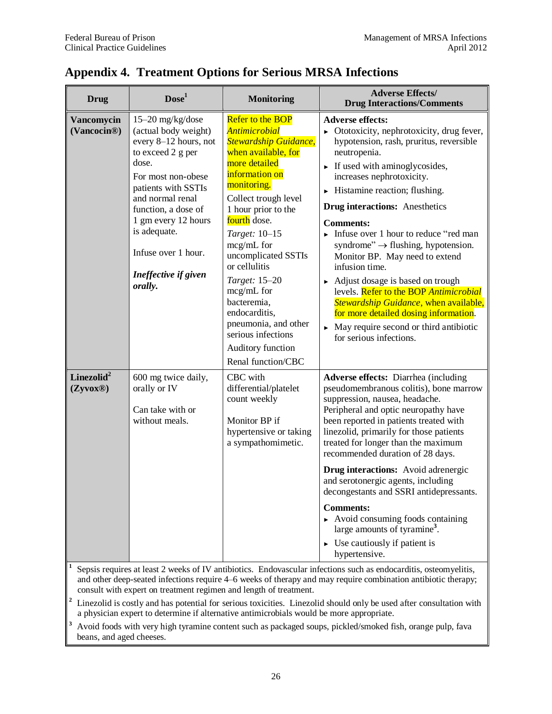| <b>Drug</b>                            | Dose <sup>1</sup>                                                                                                                                                                                                                                                                        | Monitoring                                                                                                                                                                                                                                                                                                                                                                                                                                             | <b>Adverse Effects/</b><br><b>Drug Interactions/Comments</b>                                                                                                                                                                                                                                                                                                                                                                                                                                                                                                                                                                                                                                                                                             |
|----------------------------------------|------------------------------------------------------------------------------------------------------------------------------------------------------------------------------------------------------------------------------------------------------------------------------------------|--------------------------------------------------------------------------------------------------------------------------------------------------------------------------------------------------------------------------------------------------------------------------------------------------------------------------------------------------------------------------------------------------------------------------------------------------------|----------------------------------------------------------------------------------------------------------------------------------------------------------------------------------------------------------------------------------------------------------------------------------------------------------------------------------------------------------------------------------------------------------------------------------------------------------------------------------------------------------------------------------------------------------------------------------------------------------------------------------------------------------------------------------------------------------------------------------------------------------|
| Vancomycin<br>(Vancocin <sup>®</sup> ) | 15-20 mg/kg/dose<br>(actual body weight)<br>every 8-12 hours, not<br>to exceed 2 g per<br>dose.<br>For most non-obese<br>patients with SSTIs<br>and normal renal<br>function, a dose of<br>1 gm every 12 hours<br>is adequate.<br>Infuse over 1 hour.<br>Ineffective if given<br>orally. | <b>Refer to the BOP</b><br><b>Antimicrobial</b><br><b>Stewardship Guidance,</b><br>when available, for<br>more detailed<br>information on<br>monitoring.<br>Collect trough level<br>1 hour prior to the<br>fourth dose.<br>Target: 10-15<br>mcg/mL for<br>uncomplicated SSTIs<br>or cellulitis<br>Target: 15-20<br>mcg/mL for<br>bacteremia,<br>endocarditis,<br>pneumonia, and other<br>serious infections<br>Auditory function<br>Renal function/CBC | <b>Adverse effects:</b><br>$\triangleright$ Ototoxicity, nephrotoxicity, drug fever,<br>hypotension, rash, pruritus, reversible<br>neutropenia.<br>$\triangleright$ If used with aminogly cosides,<br>increases nephrotoxicity.<br>$\blacktriangleright$ Histamine reaction; flushing.<br><b>Drug interactions:</b> Anesthetics<br><b>Comments:</b><br>Infuse over 1 hour to reduce "red man<br>syndrome" $\rightarrow$ flushing, hypotension.<br>Monitor BP. May need to extend<br>infusion time.<br>Adjust dosage is based on trough<br>levels. Refer to the BOP Antimicrobial<br>Stewardship Guidance, when available,<br>for more detailed dosing information.<br>$\triangleright$ May require second or third antibiotic<br>for serious infections. |
| Linezolid $2$<br>(Zyvox@)              | 600 mg twice daily,<br>orally or IV<br>Can take with or<br>without meals.                                                                                                                                                                                                                | CBC with<br>differential/platelet<br>count weekly<br>Monitor BP if<br>hypertensive or taking<br>a sympathomimetic.                                                                                                                                                                                                                                                                                                                                     | Adverse effects: Diarrhea (including<br>pseudomembranous colitis), bone marrow<br>suppression, nausea, headache.<br>Peripheral and optic neuropathy have<br>been reported in patients treated with<br>linezolid, primarily for those patients<br>treated for longer than the maximum<br>recommended duration of 28 days.<br><b>Drug interactions:</b> Avoid adrenergic<br>and serotonergic agents, including<br>decongestants and SSRI antidepressants.<br><b>Comments:</b><br>$\triangleright$ Avoid consuming foods containing<br>large amounts of tyramine <sup>3</sup> .<br>$\triangleright$ Use cautiously if patient is<br>hypertensive.                                                                                                           |

### <span id="page-29-0"></span>**Appendix 4. Treatment Options for Serious MRSA Infections**

**1** Sepsis requires at least 2 weeks of IV antibiotics. Endovascular infections such as endocarditis, osteomyelitis, and other deep-seated infections require 4–6 weeks of therapy and may require combination antibiotic therapy; consult with expert on treatment regimen and length of treatment.

**<sup>2</sup>** Linezolid is costly and has potential for serious toxicities. Linezolid should only be used after consultation with a physician expert to determine if alternative antimicrobials would be more appropriate.

**<sup>3</sup>** Avoid foods with very high tyramine content such as packaged soups, pickled/smoked fish, orange pulp, fava beans, and aged cheeses.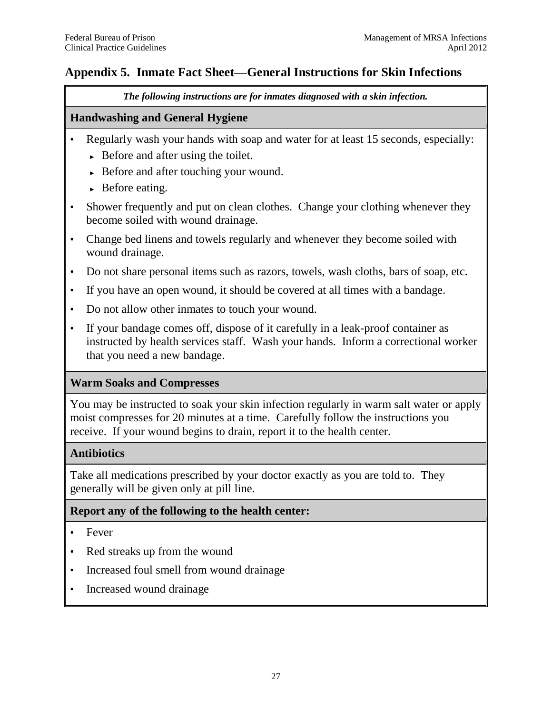### <span id="page-30-0"></span>**Appendix 5. Inmate Fact Sheet—General Instructions for Skin Infections**

*The following instructions are for inmates diagnosed with a skin infection.*

### **Handwashing and General Hygiene**

- Regularly wash your hands with soap and water for at least 15 seconds, especially:
	- $\rightarrow$  Before and after using the toilet.
	- ► Before and after touching your wound.
	- $\triangleright$  Before eating.
- Shower frequently and put on clean clothes. Change your clothing whenever they become soiled with wound drainage.
- Change bed linens and towels regularly and whenever they become soiled with wound drainage.
- Do not share personal items such as razors, towels, wash cloths, bars of soap, etc.
- If you have an open wound, it should be covered at all times with a bandage.
- Do not allow other inmates to touch your wound.
- If your bandage comes off, dispose of it carefully in a leak-proof container as instructed by health services staff. Wash your hands. Inform a correctional worker that you need a new bandage.

### **Warm Soaks and Compresses**

You may be instructed to soak your skin infection regularly in warm salt water or apply moist compresses for 20 minutes at a time. Carefully follow the instructions you receive. If your wound begins to drain, report it to the health center.

### **Antibiotics**

Take all medications prescribed by your doctor exactly as you are told to. They generally will be given only at pill line.

### **Report any of the following to the health center:**

- Fever
- Red streaks up from the wound
- Increased foul smell from wound drainage
- Increased wound drainage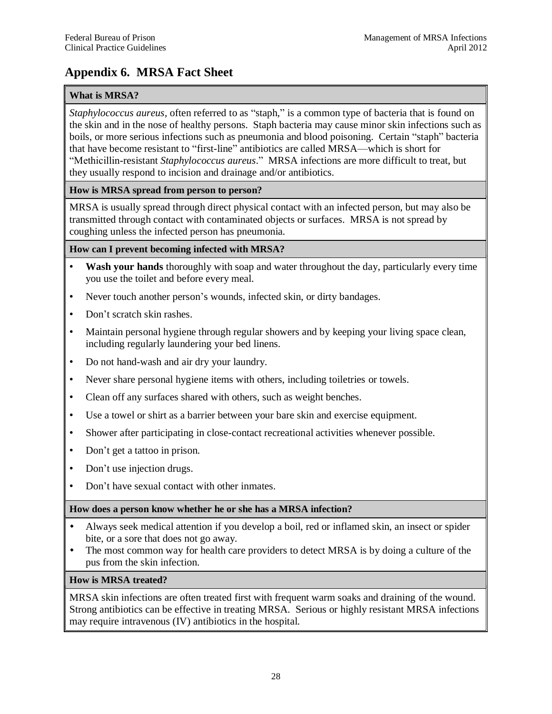### <span id="page-31-0"></span>**Appendix 6. MRSA Fact Sheet**

#### **What is MRSA?**

*Staphylococcus aureus*, often referred to as "staph," is a common type of bacteria that is found on the skin and in the nose of healthy persons. Staph bacteria may cause minor skin infections such as boils, or more serious infections such as pneumonia and blood poisoning. Certain "staph" bacteria that have become resistant to "first-line" antibiotics are called MRSA—which is short for "Methicillin-resistant *Staphylococcus aureus*." MRSA infections are more difficult to treat, but they usually respond to incision and drainage and/or antibiotics.

#### **How is MRSA spread from person to person?**

MRSA is usually spread through direct physical contact with an infected person, but may also be transmitted through contact with contaminated objects or surfaces. MRSA is not spread by coughing unless the infected person has pneumonia.

#### **How can I prevent becoming infected with MRSA?**

- **Wash your hands** thoroughly with soap and water throughout the day, particularly every time you use the toilet and before every meal.
- Never touch another person's wounds, infected skin, or dirty bandages.
- Don't scratch skin rashes.
- Maintain personal hygiene through regular showers and by keeping your living space clean, including regularly laundering your bed linens.
- Do not hand-wash and air dry your laundry.
- Never share personal hygiene items with others, including toiletries or towels.
- Clean off any surfaces shared with others, such as weight benches.
- Use a towel or shirt as a barrier between your bare skin and exercise equipment.
- Shower after participating in close-contact recreational activities whenever possible.
- Don't get a tattoo in prison.
- Don't use injection drugs.
- Don't have sexual contact with other inmates.

#### **How does a person know whether he or she has a MRSA infection?**

- Always seek medical attention if you develop a boil, red or inflamed skin, an insect or spider bite, or a sore that does not go away.
- The most common way for health care providers to detect MRSA is by doing a culture of the pus from the skin infection.

#### **How is MRSA treated?**

MRSA skin infections are often treated first with frequent warm soaks and draining of the wound. Strong antibiotics can be effective in treating MRSA. Serious or highly resistant MRSA infections may require intravenous (IV) antibiotics in the hospital.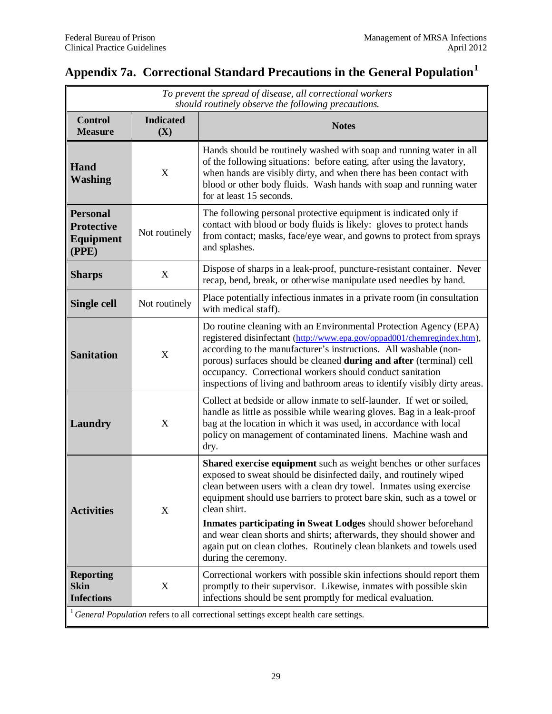## <span id="page-32-0"></span>**Appendix 7a. Correctional Standard Precautions in the General Population<sup>1</sup>**

| To prevent the spread of disease, all correctional workers<br>should routinely observe the following precautions. |                           |                                                                                                                                                                                                                                                                                                                                                                                                                                                                                                                                                   |  |  |
|-------------------------------------------------------------------------------------------------------------------|---------------------------|---------------------------------------------------------------------------------------------------------------------------------------------------------------------------------------------------------------------------------------------------------------------------------------------------------------------------------------------------------------------------------------------------------------------------------------------------------------------------------------------------------------------------------------------------|--|--|
| <b>Control</b><br><b>Measure</b>                                                                                  | <b>Indicated</b><br>(X)   | <b>Notes</b>                                                                                                                                                                                                                                                                                                                                                                                                                                                                                                                                      |  |  |
| Hand<br><b>Washing</b>                                                                                            | X                         | Hands should be routinely washed with soap and running water in all<br>of the following situations: before eating, after using the lavatory,<br>when hands are visibly dirty, and when there has been contact with<br>blood or other body fluids. Wash hands with soap and running water<br>for at least 15 seconds.                                                                                                                                                                                                                              |  |  |
| <b>Personal</b><br><b>Protective</b><br>Equipment<br>(PPE)                                                        | Not routinely             | The following personal protective equipment is indicated only if<br>contact with blood or body fluids is likely: gloves to protect hands<br>from contact; masks, face/eye wear, and gowns to protect from sprays<br>and splashes.                                                                                                                                                                                                                                                                                                                 |  |  |
| <b>Sharps</b>                                                                                                     | X                         | Dispose of sharps in a leak-proof, puncture-resistant container. Never<br>recap, bend, break, or otherwise manipulate used needles by hand.                                                                                                                                                                                                                                                                                                                                                                                                       |  |  |
| <b>Single cell</b>                                                                                                | Not routinely             | Place potentially infectious inmates in a private room (in consultation<br>with medical staff).                                                                                                                                                                                                                                                                                                                                                                                                                                                   |  |  |
| <b>Sanitation</b>                                                                                                 | X                         | Do routine cleaning with an Environmental Protection Agency (EPA)<br>registered disinfectant (http://www.epa.gov/oppad001/chemregindex.htm),<br>according to the manufacturer's instructions. All washable (non-<br>porous) surfaces should be cleaned during and after (terminal) cell<br>occupancy. Correctional workers should conduct sanitation<br>inspections of living and bathroom areas to identify visibly dirty areas.                                                                                                                 |  |  |
| Laundry                                                                                                           | $\boldsymbol{\mathrm{X}}$ | Collect at bedside or allow inmate to self-launder. If wet or soiled,<br>handle as little as possible while wearing gloves. Bag in a leak-proof<br>bag at the location in which it was used, in accordance with local<br>policy on management of contaminated linens. Machine wash and<br>dry.                                                                                                                                                                                                                                                    |  |  |
| <b>Activities</b>                                                                                                 | X                         | Shared exercise equipment such as weight benches or other surfaces<br>exposed to sweat should be disinfected daily, and routinely wiped<br>clean between users with a clean dry towel. Inmates using exercise<br>equipment should use barriers to protect bare skin, such as a towel or<br>clean shirt.<br>Inmates participating in Sweat Lodges should shower beforehand<br>and wear clean shorts and shirts; afterwards, they should shower and<br>again put on clean clothes. Routinely clean blankets and towels used<br>during the ceremony. |  |  |
| <b>Reporting</b><br><b>Skin</b><br><b>Infections</b>                                                              | $\boldsymbol{X}$          | Correctional workers with possible skin infections should report them<br>promptly to their supervisor. Likewise, inmates with possible skin<br>infections should be sent promptly for medical evaluation.                                                                                                                                                                                                                                                                                                                                         |  |  |
| <sup>1</sup> General Population refers to all correctional settings except health care settings.                  |                           |                                                                                                                                                                                                                                                                                                                                                                                                                                                                                                                                                   |  |  |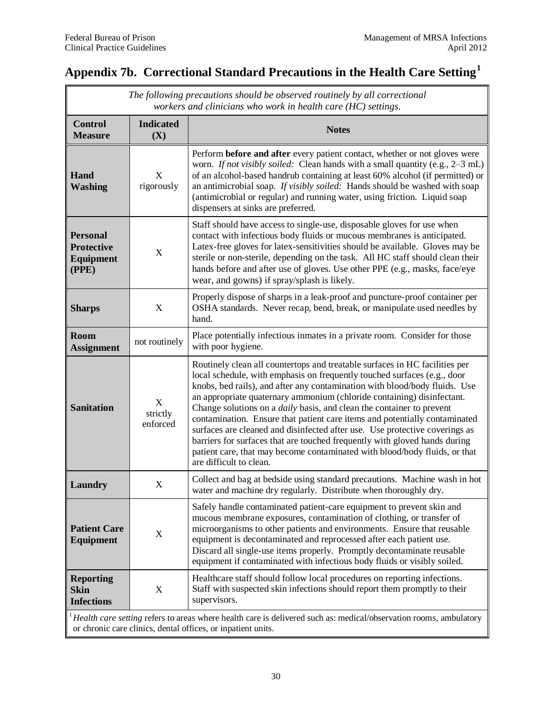## <span id="page-33-0"></span>**Appendix 7b. Correctional Standard Precautions in the Health Care Setting<sup>1</sup>**

| The following precautions should be observed routinely by all correctional<br>workers and clinicians who work in health care (HC) settings.                                       |                           |                                                                                                                                                                                                                                                                                                                                                                                                                                                                                                                                                                                                                                                                                                                                                     |  |  |
|-----------------------------------------------------------------------------------------------------------------------------------------------------------------------------------|---------------------------|-----------------------------------------------------------------------------------------------------------------------------------------------------------------------------------------------------------------------------------------------------------------------------------------------------------------------------------------------------------------------------------------------------------------------------------------------------------------------------------------------------------------------------------------------------------------------------------------------------------------------------------------------------------------------------------------------------------------------------------------------------|--|--|
| <b>Control</b><br><b>Measure</b>                                                                                                                                                  | <b>Indicated</b><br>(X)   | <b>Notes</b>                                                                                                                                                                                                                                                                                                                                                                                                                                                                                                                                                                                                                                                                                                                                        |  |  |
| Hand<br><b>Washing</b>                                                                                                                                                            | X<br>rigorously           | Perform before and after every patient contact, whether or not gloves were<br>worn. If not visibly soiled: Clean hands with a small quantity (e.g., 2-3 mL)<br>of an alcohol-based handrub containing at least 60% alcohol (if permitted) or<br>an antimicrobial soap. If visibly soiled: Hands should be washed with soap<br>(antimicrobial or regular) and running water, using friction. Liquid soap<br>dispensers at sinks are preferred.                                                                                                                                                                                                                                                                                                       |  |  |
| <b>Personal</b><br><b>Protective</b><br>Equipment<br>(PPE)                                                                                                                        | X                         | Staff should have access to single-use, disposable gloves for use when<br>contact with infectious body fluids or mucous membranes is anticipated.<br>Latex-free gloves for latex-sensitivities should be available. Gloves may be<br>sterile or non-sterile, depending on the task. All HC staff should clean their<br>hands before and after use of gloves. Use other PPE (e.g., masks, face/eye<br>wear, and gowns) if spray/splash is likely.                                                                                                                                                                                                                                                                                                    |  |  |
| <b>Sharps</b>                                                                                                                                                                     | X                         | Properly dispose of sharps in a leak-proof and puncture-proof container per<br>OSHA standards. Never recap, bend, break, or manipulate used needles by<br>hand.                                                                                                                                                                                                                                                                                                                                                                                                                                                                                                                                                                                     |  |  |
| <b>Room</b><br><b>Assignment</b>                                                                                                                                                  | not routinely             | Place potentially infectious inmates in a private room. Consider for those<br>with poor hygiene.                                                                                                                                                                                                                                                                                                                                                                                                                                                                                                                                                                                                                                                    |  |  |
| <b>Sanitation</b>                                                                                                                                                                 | X<br>strictly<br>enforced | Routinely clean all countertops and treatable surfaces in HC facilities per<br>local schedule, with emphasis on frequently touched surfaces (e.g., door<br>knobs, bed rails), and after any contamination with blood/body fluids. Use<br>an appropriate quaternary ammonium (chloride containing) disinfectant.<br>Change solutions on a <i>daily</i> basis, and clean the container to prevent<br>contamination. Ensure that patient care items and potentially contaminated<br>surfaces are cleaned and disinfected after use. Use protective coverings as<br>barriers for surfaces that are touched frequently with gloved hands during<br>patient care, that may become contaminated with blood/body fluids, or that<br>are difficult to clean. |  |  |
| Laundry                                                                                                                                                                           | X                         | Collect and bag at bedside using standard precautions. Machine wash in hot<br>water and machine dry regularly. Distribute when thoroughly dry.                                                                                                                                                                                                                                                                                                                                                                                                                                                                                                                                                                                                      |  |  |
| <b>Patient Care</b><br><b>Equipment</b>                                                                                                                                           | X                         | Safely handle contaminated patient-care equipment to prevent skin and<br>mucous membrane exposures, contamination of clothing, or transfer of<br>microorganisms to other patients and environments. Ensure that reusable<br>equipment is decontaminated and reprocessed after each patient use.<br>Discard all single-use items properly. Promptly decontaminate reusable<br>equipment if contaminated with infectious body fluids or visibly soiled.                                                                                                                                                                                                                                                                                               |  |  |
| <b>Reporting</b><br><b>Skin</b><br><b>Infections</b>                                                                                                                              | X                         | Healthcare staff should follow local procedures on reporting infections.<br>Staff with suspected skin infections should report them promptly to their<br>supervisors.                                                                                                                                                                                                                                                                                                                                                                                                                                                                                                                                                                               |  |  |
| Health care setting refers to areas where health care is delivered such as: medical/observation rooms, ambulatory<br>or chronic care clinics, dental offices, or inpatient units. |                           |                                                                                                                                                                                                                                                                                                                                                                                                                                                                                                                                                                                                                                                                                                                                                     |  |  |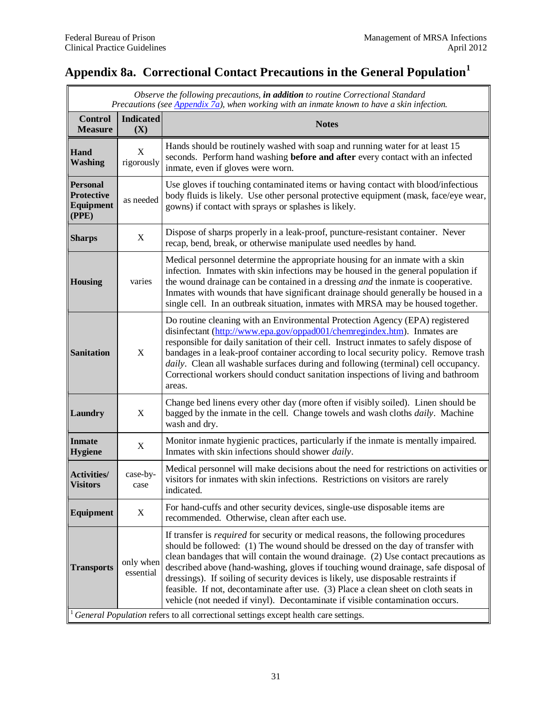## <span id="page-34-0"></span>**Appendix 8a. Correctional Contact Precautions in the General Population<sup>1</sup>**

|                                                                                     | Observe the following precautions, in addition to routine Correctional Standard<br>Precautions (see Appendix 7a), when working with an inmate known to have a skin infection. |                                                                                                                                                                                                                                                                                                                                                                                                                                                                                                                                                                                                                         |  |  |  |
|-------------------------------------------------------------------------------------|-------------------------------------------------------------------------------------------------------------------------------------------------------------------------------|-------------------------------------------------------------------------------------------------------------------------------------------------------------------------------------------------------------------------------------------------------------------------------------------------------------------------------------------------------------------------------------------------------------------------------------------------------------------------------------------------------------------------------------------------------------------------------------------------------------------------|--|--|--|
| <b>Control</b><br><b>Measure</b>                                                    | <b>Indicated</b><br>(X)                                                                                                                                                       | <b>Notes</b>                                                                                                                                                                                                                                                                                                                                                                                                                                                                                                                                                                                                            |  |  |  |
| Hand<br><b>Washing</b>                                                              | $\mathbf X$<br>rigorously                                                                                                                                                     | Hands should be routinely washed with soap and running water for at least 15<br>seconds. Perform hand washing before and after every contact with an infected<br>inmate, even if gloves were worn.                                                                                                                                                                                                                                                                                                                                                                                                                      |  |  |  |
| <b>Personal</b><br><b>Protective</b><br>Equipment<br>(PPE)                          | as needed                                                                                                                                                                     | Use gloves if touching contaminated items or having contact with blood/infectious<br>body fluids is likely. Use other personal protective equipment (mask, face/eye wear,<br>gowns) if contact with sprays or splashes is likely.                                                                                                                                                                                                                                                                                                                                                                                       |  |  |  |
| <b>Sharps</b>                                                                       | X                                                                                                                                                                             | Dispose of sharps properly in a leak-proof, puncture-resistant container. Never<br>recap, bend, break, or otherwise manipulate used needles by hand.                                                                                                                                                                                                                                                                                                                                                                                                                                                                    |  |  |  |
| <b>Housing</b>                                                                      | varies                                                                                                                                                                        | Medical personnel determine the appropriate housing for an inmate with a skin<br>infection. Inmates with skin infections may be housed in the general population if<br>the wound drainage can be contained in a dressing <i>and</i> the inmate is cooperative.<br>Inmates with wounds that have significant drainage should generally be housed in a<br>single cell. In an outbreak situation, inmates with MRSA may be housed together.                                                                                                                                                                                |  |  |  |
| <b>Sanitation</b>                                                                   | X                                                                                                                                                                             | Do routine cleaning with an Environmental Protection Agency (EPA) registered<br>disinfectant (http://www.epa.gov/oppad001/chemregindex.htm). Inmates are<br>responsible for daily sanitation of their cell. Instruct inmates to safely dispose of<br>bandages in a leak-proof container according to local security policy. Remove trash<br>daily. Clean all washable surfaces during and following (terminal) cell occupancy.<br>Correctional workers should conduct sanitation inspections of living and bathroom<br>areas.                                                                                           |  |  |  |
| Laundry                                                                             | X                                                                                                                                                                             | Change bed linens every other day (more often if visibly soiled). Linen should be<br>bagged by the inmate in the cell. Change towels and wash cloths <i>daily</i> . Machine<br>wash and dry.                                                                                                                                                                                                                                                                                                                                                                                                                            |  |  |  |
| <b>Inmate</b><br><b>Hygiene</b>                                                     | X                                                                                                                                                                             | Monitor inmate hygienic practices, particularly if the inmate is mentally impaired.<br>Inmates with skin infections should shower daily.                                                                                                                                                                                                                                                                                                                                                                                                                                                                                |  |  |  |
| <b>Activities/</b><br><b>Visitors</b>                                               | case-by-<br>case                                                                                                                                                              | Medical personnel will make decisions about the need for restrictions on activities or<br>visitors for inmates with skin infections. Restrictions on visitors are rarely<br>indicated.                                                                                                                                                                                                                                                                                                                                                                                                                                  |  |  |  |
| Equipment                                                                           | X                                                                                                                                                                             | For hand-cuffs and other security devices, single-use disposable items are<br>recommended. Otherwise, clean after each use.                                                                                                                                                                                                                                                                                                                                                                                                                                                                                             |  |  |  |
| <b>Transports</b>                                                                   | only when<br>essential                                                                                                                                                        | If transfer is <i>required</i> for security or medical reasons, the following procedures<br>should be followed: (1) The wound should be dressed on the day of transfer with<br>clean bandages that will contain the wound drainage. (2) Use contact precautions as<br>described above (hand-washing, gloves if touching wound drainage, safe disposal of<br>dressings). If soiling of security devices is likely, use disposable restraints if<br>feasible. If not, decontaminate after use. (3) Place a clean sheet on cloth seats in<br>vehicle (not needed if vinyl). Decontaminate if visible contamination occurs. |  |  |  |
| General Population refers to all correctional settings except health care settings. |                                                                                                                                                                               |                                                                                                                                                                                                                                                                                                                                                                                                                                                                                                                                                                                                                         |  |  |  |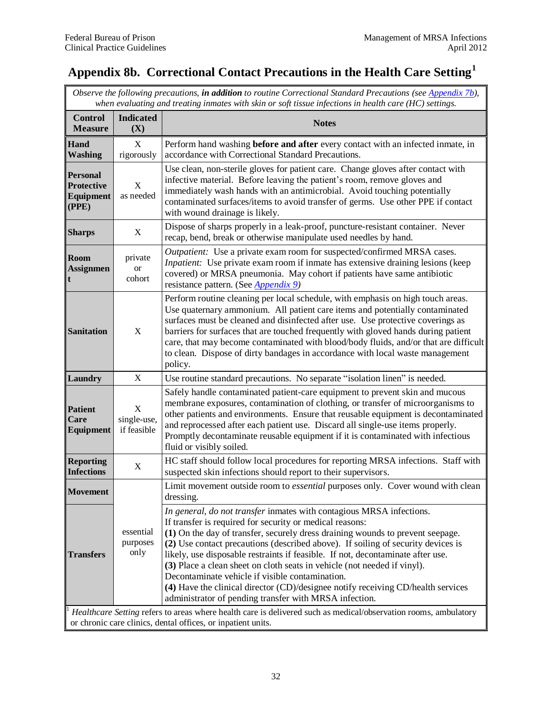## <span id="page-35-1"></span><span id="page-35-0"></span>**Appendix 8b. Correctional Contact Precautions in the Health Care Setting<sup>1</sup>**

*Observe the following precautions, in addition to routine Correctional Standard Precautions (se[e Appendix 7b\)](#page-33-0), when evaluating and treating inmates with skin or soft tissue infections in health care (HC) settings.*

| <b>Control</b><br><b>Measure</b>                                                                                                                                                | <b>Indicated</b><br>(X)         | <b>Notes</b>                                                                                                                                                                                                                                                                                                                                                                                                                                                                                                                                                                                                                                                           |  |
|---------------------------------------------------------------------------------------------------------------------------------------------------------------------------------|---------------------------------|------------------------------------------------------------------------------------------------------------------------------------------------------------------------------------------------------------------------------------------------------------------------------------------------------------------------------------------------------------------------------------------------------------------------------------------------------------------------------------------------------------------------------------------------------------------------------------------------------------------------------------------------------------------------|--|
| Hand<br><b>Washing</b>                                                                                                                                                          | X<br>rigorously                 | Perform hand washing <b>before and after</b> every contact with an infected inmate, in<br>accordance with Correctional Standard Precautions.                                                                                                                                                                                                                                                                                                                                                                                                                                                                                                                           |  |
| <b>Personal</b><br><b>Protective</b><br>Equipment<br>(PPE)                                                                                                                      | $\mathbf X$<br>as needed        | Use clean, non-sterile gloves for patient care. Change gloves after contact with<br>infective material. Before leaving the patient's room, remove gloves and<br>immediately wash hands with an antimicrobial. Avoid touching potentially<br>contaminated surfaces/items to avoid transfer of germs. Use other PPE if contact<br>with wound drainage is likely.                                                                                                                                                                                                                                                                                                         |  |
| <b>Sharps</b>                                                                                                                                                                   | X                               | Dispose of sharps properly in a leak-proof, puncture-resistant container. Never<br>recap, bend, break or otherwise manipulate used needles by hand.                                                                                                                                                                                                                                                                                                                                                                                                                                                                                                                    |  |
| <b>Room</b><br><b>Assignmen</b>                                                                                                                                                 | private<br><b>or</b><br>cohort  | Outpatient: Use a private exam room for suspected/confirmed MRSA cases.<br><i>Inpatient:</i> Use private exam room if inmate has extensive draining lesions (keep<br>covered) or MRSA pneumonia. May cohort if patients have same antibiotic<br>resistance pattern. (See Appendix 9)                                                                                                                                                                                                                                                                                                                                                                                   |  |
| <b>Sanitation</b>                                                                                                                                                               | X                               | Perform routine cleaning per local schedule, with emphasis on high touch areas.<br>Use quaternary ammonium. All patient care items and potentially contaminated<br>surfaces must be cleaned and disinfected after use. Use protective coverings as<br>barriers for surfaces that are touched frequently with gloved hands during patient<br>care, that may become contaminated with blood/body fluids, and/or that are difficult<br>to clean. Dispose of dirty bandages in accordance with local waste management<br>policy.                                                                                                                                           |  |
| Laundry                                                                                                                                                                         | X                               | Use routine standard precautions. No separate "isolation linen" is needed.                                                                                                                                                                                                                                                                                                                                                                                                                                                                                                                                                                                             |  |
| <b>Patient</b><br>Care<br>Equipment                                                                                                                                             | X<br>single-use,<br>if feasible | Safely handle contaminated patient-care equipment to prevent skin and mucous<br>membrane exposures, contamination of clothing, or transfer of microorganisms to<br>other patients and environments. Ensure that reusable equipment is decontaminated<br>and reprocessed after each patient use. Discard all single-use items properly.<br>Promptly decontaminate reusable equipment if it is contaminated with infectious<br>fluid or visibly soiled.                                                                                                                                                                                                                  |  |
| <b>Reporting</b><br><b>Infections</b>                                                                                                                                           | X                               | HC staff should follow local procedures for reporting MRSA infections. Staff with<br>suspected skin infections should report to their supervisors.                                                                                                                                                                                                                                                                                                                                                                                                                                                                                                                     |  |
| <b>Movement</b>                                                                                                                                                                 |                                 | Limit movement outside room to <i>essential</i> purposes only. Cover wound with clean<br>dressing.                                                                                                                                                                                                                                                                                                                                                                                                                                                                                                                                                                     |  |
| <b>Transfers</b>                                                                                                                                                                | essential<br>purposes<br>only   | In general, do not transfer inmates with contagious MRSA infections.<br>If transfer is required for security or medical reasons:<br>(1) On the day of transfer, securely dress draining wounds to prevent seepage.<br>(2) Use contact precautions (described above). If soiling of security devices is<br>likely, use disposable restraints if feasible. If not, decontaminate after use.<br>(3) Place a clean sheet on cloth seats in vehicle (not needed if vinyl).<br>Decontaminate vehicle if visible contamination.<br>(4) Have the clinical director (CD)/designee notify receiving CD/health services<br>administrator of pending transfer with MRSA infection. |  |
| Healthcare Setting refers to areas where health care is delivered such as medical/observation rooms, ambulatory<br>or chronic care clinics, dental offices, or inpatient units. |                                 |                                                                                                                                                                                                                                                                                                                                                                                                                                                                                                                                                                                                                                                                        |  |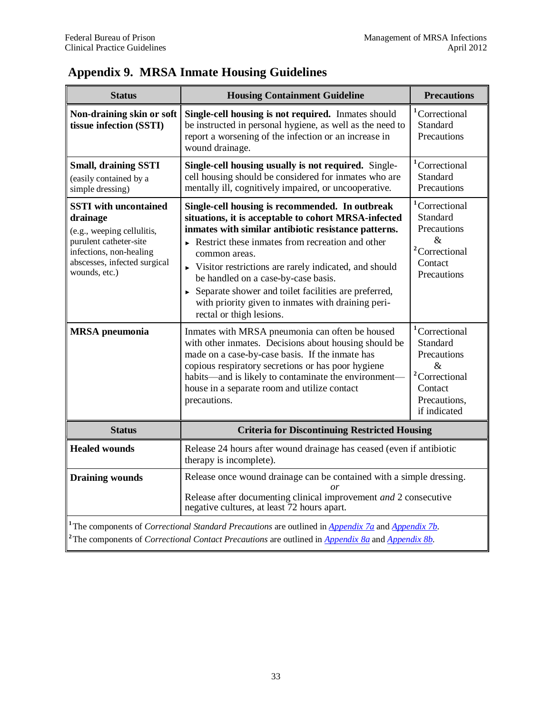<span id="page-36-0"></span>

| <b>Status</b>                                                                                                                                                                                                                                                                                             | <b>Housing Containment Guideline</b>                                                                                                                                                                                                                                                                                                                                                                                                                                                                                              | <b>Precautions</b>                                                                                                                            |  |  |  |  |
|-----------------------------------------------------------------------------------------------------------------------------------------------------------------------------------------------------------------------------------------------------------------------------------------------------------|-----------------------------------------------------------------------------------------------------------------------------------------------------------------------------------------------------------------------------------------------------------------------------------------------------------------------------------------------------------------------------------------------------------------------------------------------------------------------------------------------------------------------------------|-----------------------------------------------------------------------------------------------------------------------------------------------|--|--|--|--|
| Non-draining skin or soft<br>tissue infection (SSTI)                                                                                                                                                                                                                                                      | Single-cell housing is not required. Inmates should<br>be instructed in personal hygiene, as well as the need to<br>report a worsening of the infection or an increase in<br>wound drainage.                                                                                                                                                                                                                                                                                                                                      | <sup>1</sup> Correctional<br>Standard<br>Precautions                                                                                          |  |  |  |  |
| <b>Small, draining SSTI</b><br>(easily contained by a<br>simple dressing)                                                                                                                                                                                                                                 | Single-cell housing usually is not required. Single-<br>cell housing should be considered for inmates who are<br>mentally ill, cognitively impaired, or uncooperative.                                                                                                                                                                                                                                                                                                                                                            | <sup>1</sup> Correctional<br>Standard<br>Precautions                                                                                          |  |  |  |  |
| <b>SSTI</b> with uncontained<br>drainage<br>(e.g., weeping cellulitis,<br>purulent catheter-site<br>infections, non-healing<br>abscesses, infected surgical<br>wounds, etc.)                                                                                                                              | Single-cell housing is recommended. In outbreak<br>situations, it is acceptable to cohort MRSA-infected<br>inmates with similar antibiotic resistance patterns.<br>$\triangleright$ Restrict these inmates from recreation and other<br>common areas.<br>$\triangleright$ Visitor restrictions are rarely indicated, and should<br>be handled on a case-by-case basis.<br>$\triangleright$ Separate shower and toilet facilities are preferred,<br>with priority given to inmates with draining peri-<br>rectal or thigh lesions. | <sup>1</sup> Correctional<br>Standard<br>Precautions<br>$\mathcal{R}_{\mathcal{L}}$<br><sup>2</sup> Correctional<br>Contact<br>Precautions    |  |  |  |  |
| <b>MRSA</b> pneumonia                                                                                                                                                                                                                                                                                     | Inmates with MRSA pneumonia can often be housed<br>with other inmates. Decisions about housing should be<br>made on a case-by-case basis. If the inmate has<br>copious respiratory secretions or has poor hygiene<br>habits—and is likely to contaminate the environment-<br>house in a separate room and utilize contact<br>precautions.                                                                                                                                                                                         | <sup>1</sup> Correctional<br>Standard<br>Precautions<br>$\mathcal{R}$<br><sup>2</sup> Correctional<br>Contact<br>Precautions,<br>if indicated |  |  |  |  |
| <b>Status</b>                                                                                                                                                                                                                                                                                             |                                                                                                                                                                                                                                                                                                                                                                                                                                                                                                                                   | <b>Criteria for Discontinuing Restricted Housing</b>                                                                                          |  |  |  |  |
| <b>Healed wounds</b>                                                                                                                                                                                                                                                                                      | Release 24 hours after wound drainage has ceased (even if antibiotic<br>therapy is incomplete).                                                                                                                                                                                                                                                                                                                                                                                                                                   |                                                                                                                                               |  |  |  |  |
| <b>Draining wounds</b>                                                                                                                                                                                                                                                                                    | Release once wound drainage can be contained with a simple dressing.<br>or<br>Release after documenting clinical improvement and 2 consecutive<br>negative cultures, at least 72 hours apart.                                                                                                                                                                                                                                                                                                                                     |                                                                                                                                               |  |  |  |  |
| <sup>1</sup> The components of <i>Correctional Standard Precautions</i> are outlined in $\Delta$ <i>ppendix 7a</i> and $\Delta$ <i>ppendix 7b</i> .<br><sup>2</sup> The components of <i>Correctional Contact Precautions</i> are outlined in $\Delta$ <i>ppendix 8a</i> and $\Delta$ <i>ppendix 8b</i> . |                                                                                                                                                                                                                                                                                                                                                                                                                                                                                                                                   |                                                                                                                                               |  |  |  |  |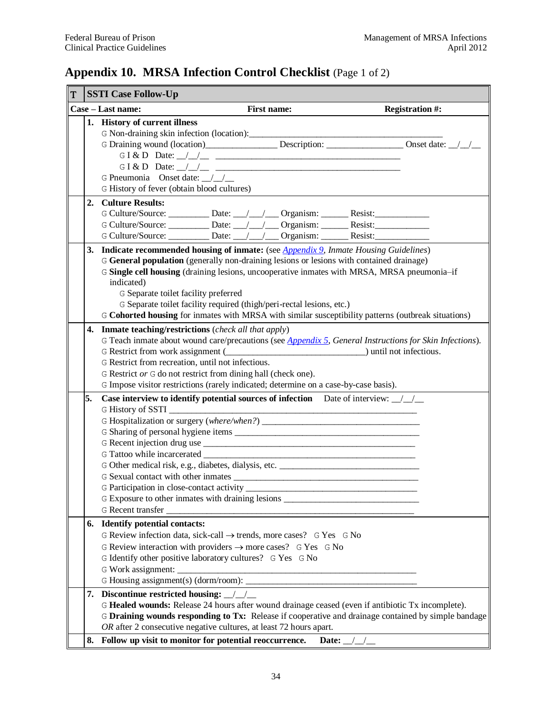## <span id="page-37-0"></span>**Appendix 10. MRSA Infection Control Checklist** (Page 1 of 2)

| T | <b>SSTI Case Follow-Up</b>                                                                                                                                                                                                                                                                                                                                                                                                                                                                                                      |                                                                                                                                                                                                                                                                                                                                                                                                                                                                                                             |  |  |  |  |  |  |
|---|---------------------------------------------------------------------------------------------------------------------------------------------------------------------------------------------------------------------------------------------------------------------------------------------------------------------------------------------------------------------------------------------------------------------------------------------------------------------------------------------------------------------------------|-------------------------------------------------------------------------------------------------------------------------------------------------------------------------------------------------------------------------------------------------------------------------------------------------------------------------------------------------------------------------------------------------------------------------------------------------------------------------------------------------------------|--|--|--|--|--|--|
|   |                                                                                                                                                                                                                                                                                                                                                                                                                                                                                                                                 | Case – Last name:<br>First name:<br><b>Registration #:</b>                                                                                                                                                                                                                                                                                                                                                                                                                                                  |  |  |  |  |  |  |
|   |                                                                                                                                                                                                                                                                                                                                                                                                                                                                                                                                 | 1. History of current illness<br>G I & D Date: $\angle$ $\angle$ $\angle$<br>G Pneumonia Onset date: $\angle$<br>G History of fever (obtain blood cultures)                                                                                                                                                                                                                                                                                                                                                 |  |  |  |  |  |  |
|   |                                                                                                                                                                                                                                                                                                                                                                                                                                                                                                                                 | 2. Culture Results:<br>G Culture/Source: __________ Date: __/__/___ Organism: _______ Resist: _________<br>G Culture/Source: ___________ Date: __/__/___ Organism: _______ Resist: _________<br>G Culture/Source: ___________ Date: __/__/___ Organism: _______ Resist: _________                                                                                                                                                                                                                           |  |  |  |  |  |  |
|   | 3. Indicate recommended housing of inmate: (see <i>Appendix 9, Inmate Housing Guidelines</i> )<br>G General population (generally non-draining lesions or lesions with contained drainage)<br>G Single cell housing (draining lesions, uncooperative inmates with MRSA, MRSA pneumonia-if<br>indicated)<br>G Separate toilet facility preferred<br>G Separate toilet facility required (thigh/peri-rectal lesions, etc.)<br>G Cohorted housing for inmates with MRSA with similar susceptibility patterns (outbreak situations) |                                                                                                                                                                                                                                                                                                                                                                                                                                                                                                             |  |  |  |  |  |  |
|   | 4.                                                                                                                                                                                                                                                                                                                                                                                                                                                                                                                              | <b>Inmate teaching/restrictions</b> ( <i>check all that apply</i> )<br>G Teach inmate about wound care/precautions (see <i>Appendix 5</i> , <i>General Instructions for Skin Infections</i> ).<br>G Restrict from work assignment (COLLECTION CONSERVINTED SUPPORTIONS) until not infectious.<br>G Restrict from recreation, until not infectious.<br>G Restrict or G do not restrict from dining hall (check one).<br>G Impose visitor restrictions (rarely indicated; determine on a case-by-case basis). |  |  |  |  |  |  |
|   | 5.                                                                                                                                                                                                                                                                                                                                                                                                                                                                                                                              | Case interview to identify potential sources of infection Date of interview: $\frac{1}{2}$<br>G Tattoo while incarcerated<br>G Other medical risk, e.g., diabetes, dialysis, etc. ____________________________<br>G Participation in close-contact activity<br>G Exposure to other inmates with draining lesions ______________________________                                                                                                                                                             |  |  |  |  |  |  |
|   |                                                                                                                                                                                                                                                                                                                                                                                                                                                                                                                                 | 6. Identify potential contacts:<br>G Review infection data, sick-call $\rightarrow$ trends, more cases? G Yes G No<br>G Review interaction with providers $\rightarrow$ more cases? G Yes G No<br>G Identify other positive laboratory cultures? G Yes G No                                                                                                                                                                                                                                                 |  |  |  |  |  |  |
|   |                                                                                                                                                                                                                                                                                                                                                                                                                                                                                                                                 | 7. Discontinue restricted housing: ///<br>G Healed wounds: Release 24 hours after wound drainage ceased (even if antibiotic Tx incomplete).<br>G Draining wounds responding to Tx: Release if cooperative and drainage contained by simple bandage<br>OR after 2 consecutive negative cultures, at least 72 hours apart.<br>8. Follow up visit to monitor for potential reoccurrence. Date: $\frac{1}{2}$                                                                                                   |  |  |  |  |  |  |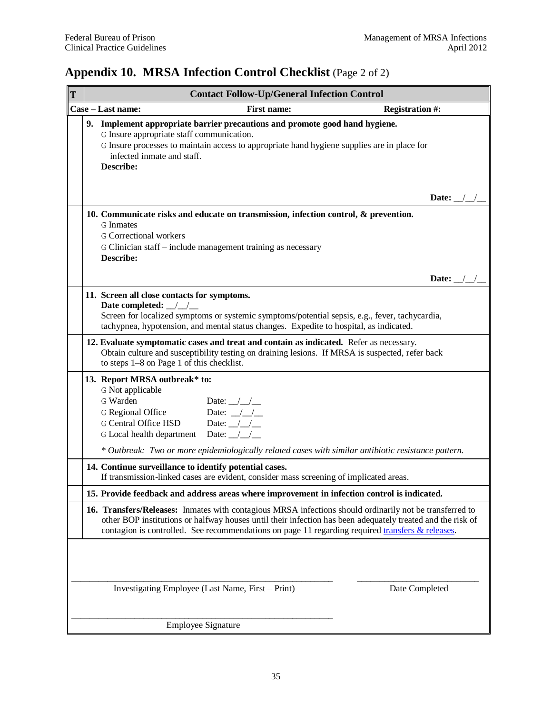## **Appendix 10. MRSA Infection Control Checklist** (Page 2 of 2)

| T |                                                                                                                                                                                                                                                                                                                           | <b>Contact Follow-Up/General Infection Control</b>                                                                                                                                                                                                                 |                           |  |  |  |  |  |
|---|---------------------------------------------------------------------------------------------------------------------------------------------------------------------------------------------------------------------------------------------------------------------------------------------------------------------------|--------------------------------------------------------------------------------------------------------------------------------------------------------------------------------------------------------------------------------------------------------------------|---------------------------|--|--|--|--|--|
|   |                                                                                                                                                                                                                                                                                                                           | Case - Last name:<br><b>First name:</b>                                                                                                                                                                                                                            | <b>Registration #:</b>    |  |  |  |  |  |
|   |                                                                                                                                                                                                                                                                                                                           | 9. Implement appropriate barrier precautions and promote good hand hygiene.<br>G Insure appropriate staff communication.<br>G Insure processes to maintain access to appropriate hand hygiene supplies are in place for<br>infected inmate and staff.<br>Describe: |                           |  |  |  |  |  |
|   |                                                                                                                                                                                                                                                                                                                           |                                                                                                                                                                                                                                                                    | Date: $\angle$ / $\angle$ |  |  |  |  |  |
|   |                                                                                                                                                                                                                                                                                                                           | 10. Communicate risks and educate on transmission, infection control, $\&$ prevention.<br><b>G</b> Inmates<br><b>G</b> Correctional workers<br>G Clinician staff – include management training as necessary<br>Describe:                                           |                           |  |  |  |  |  |
|   |                                                                                                                                                                                                                                                                                                                           |                                                                                                                                                                                                                                                                    | Date: $\angle$ /          |  |  |  |  |  |
|   | 11. Screen all close contacts for symptoms.<br>Date completed: $\angle$<br>Screen for localized symptoms or systemic symptoms/potential sepsis, e.g., fever, tachycardia,<br>tachypnea, hypotension, and mental status changes. Expedite to hospital, as indicated.                                                       |                                                                                                                                                                                                                                                                    |                           |  |  |  |  |  |
|   | 12. Evaluate symptomatic cases and treat and contain as indicated. Refer as necessary.<br>Obtain culture and susceptibility testing on draining lesions. If MRSA is suspected, refer back<br>to steps 1-8 on Page 1 of this checklist.                                                                                    |                                                                                                                                                                                                                                                                    |                           |  |  |  |  |  |
|   |                                                                                                                                                                                                                                                                                                                           | 13. Report MRSA outbreak* to:<br>G Not applicable<br>G Warden<br>Date: $\_\_\_\_\_\_\_\_\_\$<br>Date: $\angle$<br>G Regional Office<br><b>G</b> Central Office HSD<br>Date: $\angle$ / $\angle$<br>G Local health department Date: 11                              |                           |  |  |  |  |  |
|   |                                                                                                                                                                                                                                                                                                                           | * Outbreak: Two or more epidemiologically related cases with similar antibiotic resistance pattern.                                                                                                                                                                |                           |  |  |  |  |  |
|   |                                                                                                                                                                                                                                                                                                                           | 14. Continue surveillance to identify potential cases.<br>If transmission-linked cases are evident, consider mass screening of implicated areas.                                                                                                                   |                           |  |  |  |  |  |
|   |                                                                                                                                                                                                                                                                                                                           | 15. Provide feedback and address areas where improvement in infection control is indicated.                                                                                                                                                                        |                           |  |  |  |  |  |
|   | 16. Transfers/Releases: Inmates with contagious MRSA infections should ordinarily not be transferred to<br>other BOP institutions or halfway houses until their infection has been adequately treated and the risk of<br>contagion is controlled. See recommendations on page 11 regarding required transfers & releases. |                                                                                                                                                                                                                                                                    |                           |  |  |  |  |  |
|   |                                                                                                                                                                                                                                                                                                                           | Investigating Employee (Last Name, First – Print)                                                                                                                                                                                                                  | Date Completed            |  |  |  |  |  |
|   |                                                                                                                                                                                                                                                                                                                           |                                                                                                                                                                                                                                                                    |                           |  |  |  |  |  |
|   |                                                                                                                                                                                                                                                                                                                           | <b>Employee Signature</b>                                                                                                                                                                                                                                          |                           |  |  |  |  |  |